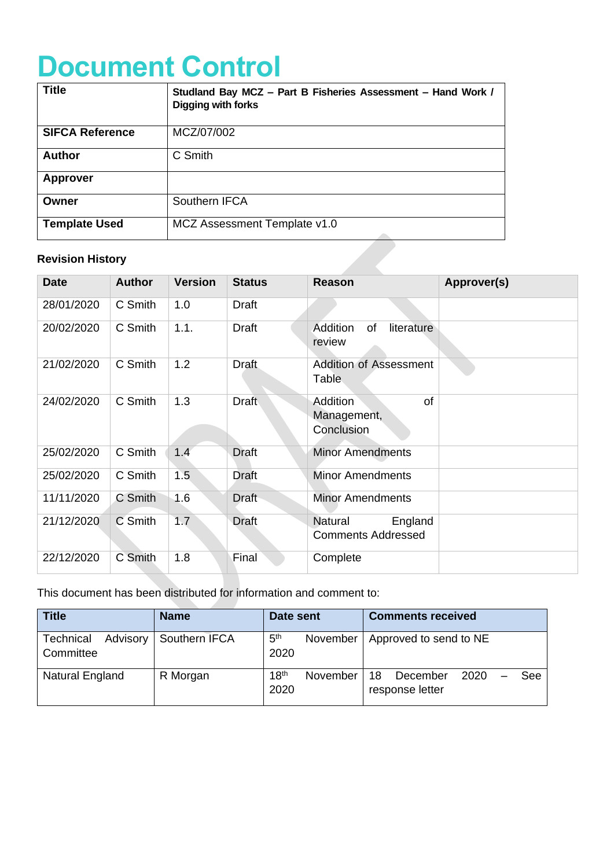# **Document Control**

| <b>Title</b>            | Studland Bay MCZ - Part B Fisheries Assessment - Hand Work /<br>Digging with forks |
|-------------------------|------------------------------------------------------------------------------------|
| <b>SIFCA Reference</b>  | MCZ/07/002                                                                         |
| <b>Author</b>           | C Smith                                                                            |
| <b>Approver</b>         |                                                                                    |
| Owner                   | Southern IFCA                                                                      |
| <b>Template Used</b>    | MCZ Assessment Template v1.0                                                       |
| <b>Revision History</b> |                                                                                    |

## **Revision History**

| <b>Date</b> | <b>Author</b> | <b>Version</b> | <b>Status</b> | <b>Reason</b>                                          | <b>Approver(s)</b> |
|-------------|---------------|----------------|---------------|--------------------------------------------------------|--------------------|
| 28/01/2020  | C Smith       | 1.0            | <b>Draft</b>  |                                                        |                    |
| 20/02/2020  | C Smith       | 1.1.           | <b>Draft</b>  | Addition<br>literature<br>of<br>review                 |                    |
| 21/02/2020  | C Smith       | 1.2            | <b>Draft</b>  | Addition of Assessment<br>Table                        |                    |
| 24/02/2020  | C Smith       | 1.3            | <b>Draft</b>  | of<br>Addition<br>Management,<br>Conclusion            |                    |
| 25/02/2020  | C Smith       | 1.4            | <b>Draft</b>  | <b>Minor Amendments</b>                                |                    |
| 25/02/2020  | C Smith       | 1.5            | Draft         | <b>Minor Amendments</b>                                |                    |
| 11/11/2020  | C Smith       | 1.6            | Draft         | <b>Minor Amendments</b>                                |                    |
| 21/12/2020  | C Smith       | 1.7            | <b>Draft</b>  | <b>Natural</b><br>England<br><b>Comments Addressed</b> |                    |
| 22/12/2020  | C Smith       | 1.8            | Final         | Complete                                               |                    |

This document has been distributed for information and comment to:

| <b>Title</b>                       | <b>Name</b>   | Date sent                            | <b>Comments received</b>                         |  |  |
|------------------------------------|---------------|--------------------------------------|--------------------------------------------------|--|--|
| Technical<br>Advisory<br>Committee | Southern IFCA | 5 <sup>th</sup><br>November<br>2020  | Approved to send to NE                           |  |  |
| Natural England                    | R Morgan      | 18 <sup>th</sup><br>November<br>2020 | 18<br>December<br>2020<br>See<br>response letter |  |  |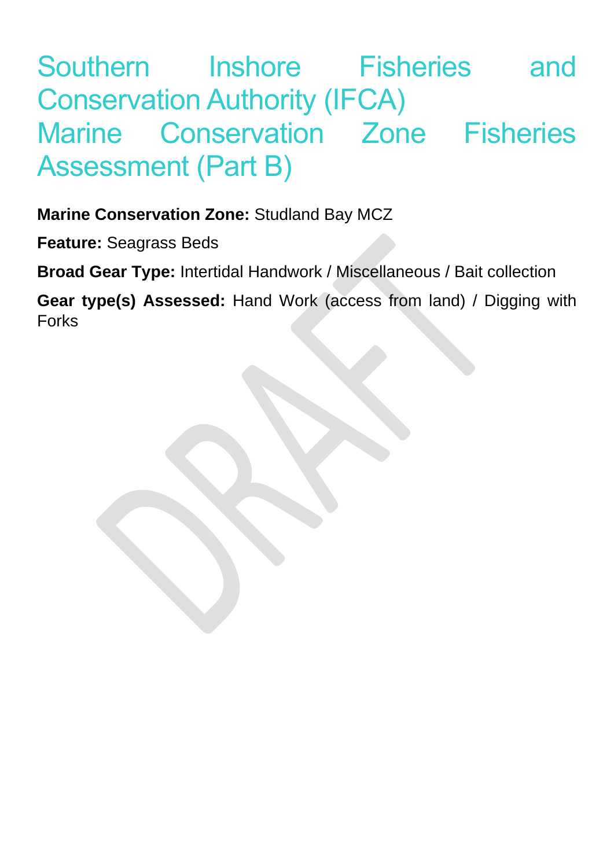# Southern Inshore Fisheries and Conservation Authority (IFCA) Marine Conservation Zone Fisheries Assessment (Part B)

# **Marine Conservation Zone:** Studland Bay MCZ

**Feature:** Seagrass Beds

**Broad Gear Type:** Intertidal Handwork / Miscellaneous / Bait collection

**Gear type(s) Assessed:** Hand Work (access from land) / Digging with Forks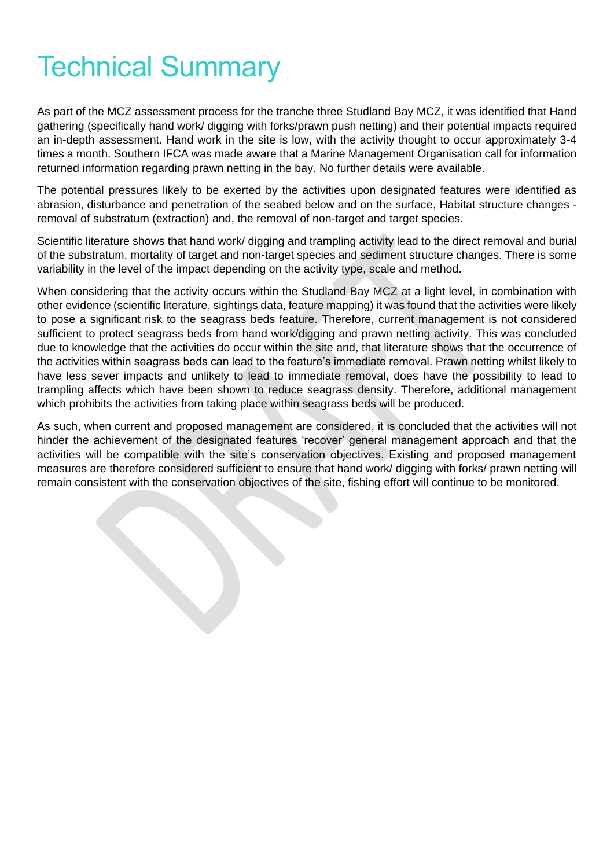# Technical Summary

As part of the MCZ assessment process for the tranche three Studland Bay MCZ, it was identified that Hand gathering (specifically hand work/ digging with forks/prawn push netting) and their potential impacts required an in-depth assessment. Hand work in the site is low, with the activity thought to occur approximately 3-4 times a month. Southern IFCA was made aware that a Marine Management Organisation call for information returned information regarding prawn netting in the bay. No further details were available.

The potential pressures likely to be exerted by the activities upon designated features were identified as abrasion, disturbance and penetration of the seabed below and on the surface, Habitat structure changes removal of substratum (extraction) and, the removal of non-target and target species.

Scientific literature shows that hand work/ digging and trampling activity lead to the direct removal and burial of the substratum, mortality of target and non-target species and sediment structure changes. There is some variability in the level of the impact depending on the activity type, scale and method.

When considering that the activity occurs within the Studland Bay MCZ at a light level, in combination with other evidence (scientific literature, sightings data, feature mapping) it was found that the activities were likely to pose a significant risk to the seagrass beds feature. Therefore, current management is not considered sufficient to protect seagrass beds from hand work/digging and prawn netting activity. This was concluded due to knowledge that the activities do occur within the site and, that literature shows that the occurrence of the activities within seagrass beds can lead to the feature's immediate removal. Prawn netting whilst likely to have less sever impacts and unlikely to lead to immediate removal, does have the possibility to lead to trampling affects which have been shown to reduce seagrass density. Therefore, additional management which prohibits the activities from taking place within seagrass beds will be produced.

As such, when current and proposed management are considered, it is concluded that the activities will not hinder the achievement of the designated features 'recover' general management approach and that the activities will be compatible with the site's conservation objectives. Existing and proposed management measures are therefore considered sufficient to ensure that hand work/ digging with forks/ prawn netting will remain consistent with the conservation objectives of the site, fishing effort will continue to be monitored.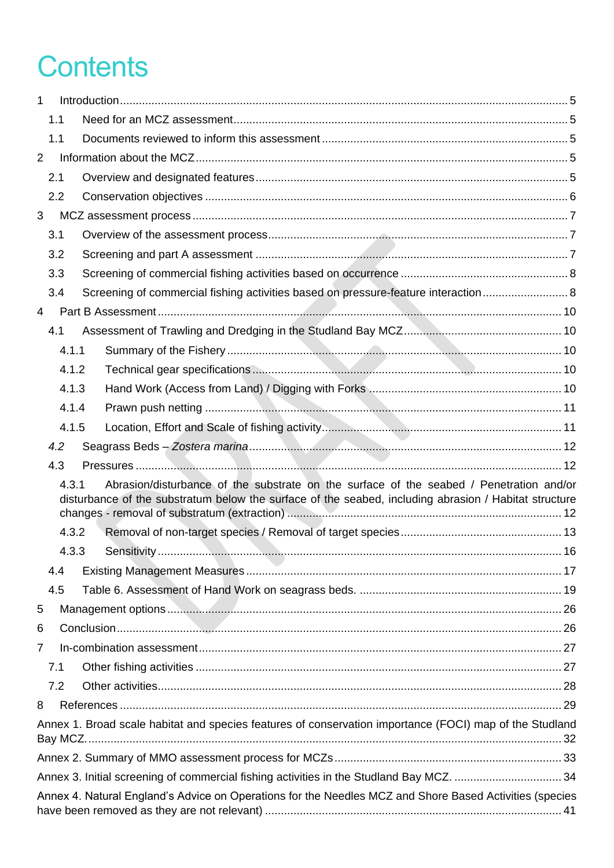# **Contents**

| $\mathbf{1}$   |     |       |                                                                                                                                                                                                  |  |
|----------------|-----|-------|--------------------------------------------------------------------------------------------------------------------------------------------------------------------------------------------------|--|
|                | 1.1 |       |                                                                                                                                                                                                  |  |
|                | 1.1 |       |                                                                                                                                                                                                  |  |
| $\overline{2}$ |     |       |                                                                                                                                                                                                  |  |
|                | 2.1 |       |                                                                                                                                                                                                  |  |
|                | 2.2 |       |                                                                                                                                                                                                  |  |
| 3              |     |       |                                                                                                                                                                                                  |  |
|                | 3.1 |       |                                                                                                                                                                                                  |  |
|                | 3.2 |       |                                                                                                                                                                                                  |  |
|                | 3.3 |       |                                                                                                                                                                                                  |  |
|                | 3.4 |       | Screening of commercial fishing activities based on pressure-feature interaction 8                                                                                                               |  |
| $\overline{4}$ |     |       |                                                                                                                                                                                                  |  |
|                | 4.1 |       |                                                                                                                                                                                                  |  |
|                |     | 4.1.1 |                                                                                                                                                                                                  |  |
|                |     | 4.1.2 |                                                                                                                                                                                                  |  |
|                |     | 4.1.3 |                                                                                                                                                                                                  |  |
|                |     | 4.1.4 |                                                                                                                                                                                                  |  |
|                |     | 4.1.5 |                                                                                                                                                                                                  |  |
|                | 4.2 |       |                                                                                                                                                                                                  |  |
|                | 4.3 |       |                                                                                                                                                                                                  |  |
|                |     | 4.3.1 | Abrasion/disturbance of the substrate on the surface of the seabed / Penetration and/or<br>disturbance of the substratum below the surface of the seabed, including abrasion / Habitat structure |  |
|                |     | 4.3.2 |                                                                                                                                                                                                  |  |
|                |     | 4.3.3 |                                                                                                                                                                                                  |  |
|                | 4.4 |       |                                                                                                                                                                                                  |  |
|                | 4.5 |       |                                                                                                                                                                                                  |  |
| 5              |     |       |                                                                                                                                                                                                  |  |
| 6              |     |       |                                                                                                                                                                                                  |  |
| $\overline{7}$ |     |       |                                                                                                                                                                                                  |  |
|                | 7.1 |       |                                                                                                                                                                                                  |  |
|                | 7.2 |       |                                                                                                                                                                                                  |  |
| 8              |     |       |                                                                                                                                                                                                  |  |
|                |     |       | Annex 1. Broad scale habitat and species features of conservation importance (FOCI) map of the Studland                                                                                          |  |
|                |     |       |                                                                                                                                                                                                  |  |
|                |     |       |                                                                                                                                                                                                  |  |
|                |     |       | Annex 4. Natural England's Advice on Operations for the Needles MCZ and Shore Based Activities (species                                                                                          |  |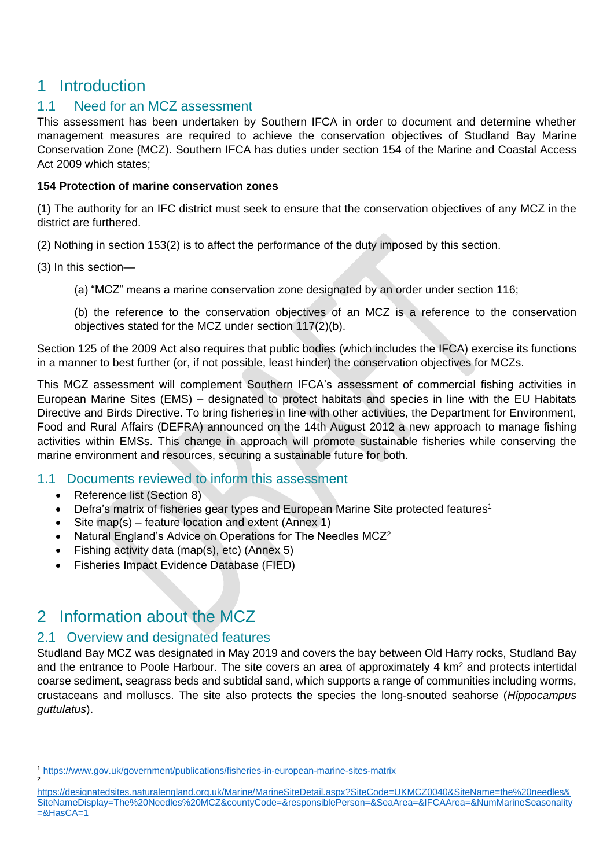# <span id="page-4-0"></span>1 Introduction

## <span id="page-4-1"></span>1.1 Need for an MCZ assessment

This assessment has been undertaken by Southern IFCA in order to document and determine whether management measures are required to achieve the conservation objectives of Studland Bay Marine Conservation Zone (MCZ). Southern IFCA has duties under section 154 of the Marine and Coastal Access Act 2009 which states;

#### **154 Protection of marine conservation zones**

(1) The authority for an IFC district must seek to ensure that the conservation objectives of any MCZ in the district are furthered.

(2) Nothing in section 153(2) is to affect the performance of the duty imposed by this section.

- (3) In this section—
	- (a) "MCZ" means a marine conservation zone designated by an order under section 116;

(b) the reference to the conservation objectives of an MCZ is a reference to the conservation objectives stated for the MCZ under section 117(2)(b).

Section 125 of the 2009 Act also requires that public bodies (which includes the IFCA) exercise its functions in a manner to best further (or, if not possible, least hinder) the conservation objectives for MCZs.

This MCZ assessment will complement Southern IFCA's assessment of commercial fishing activities in European Marine Sites (EMS) – designated to protect habitats and species in line with the EU Habitats Directive and Birds Directive. To bring fisheries in line with other activities, the Department for Environment, Food and Rural Affairs (DEFRA) announced on the 14th August 2012 a new approach to manage fishing activities within EMSs. This change in approach will promote sustainable fisheries while conserving the marine environment and resources, securing a sustainable future for both.

## <span id="page-4-2"></span>1.1 Documents reviewed to inform this assessment

- Reference list (Section 8)
- Defra's matrix of fisheries gear types and European Marine Site protected features<sup>1</sup>
- Site map(s) feature location and extent (Annex 1)
- Natural England's Advice on Operations for The Needles MCZ<sup>2</sup>
- Fishing activity data (map(s), etc) (Annex 5)
- Fisheries Impact Evidence Database (FIED)

# <span id="page-4-3"></span>2 Information about the MCZ

## <span id="page-4-4"></span>2.1 Overview and designated features

Studland Bay MCZ was designated in May 2019 and covers the bay between Old Harry rocks, Studland Bay and the entrance to Poole Harbour. The site covers an area of approximately 4 km<sup>2</sup> and protects intertidal coarse sediment, seagrass beds and subtidal sand, which supports a range of communities including worms, crustaceans and molluscs. The site also protects the species the long-snouted seahorse (*Hippocampus guttulatus*).

<sup>1</sup> <https://www.gov.uk/government/publications/fisheries-in-european-marine-sites-matrix> 2

[https://designatedsites.naturalengland.org.uk/Marine/MarineSiteDetail.aspx?SiteCode=UKMCZ0040&SiteName=the%20needles&](https://designatedsites.naturalengland.org.uk/Marine/MarineSiteDetail.aspx?SiteCode=UKMCZ0040&SiteName=the%20needles&SiteNameDisplay=The%20Needles%20MCZ&countyCode=&responsiblePerson=&SeaArea=&IFCAArea=&NumMarineSeasonality=&HasCA=1) [SiteNameDisplay=The%20Needles%20MCZ&countyCode=&responsiblePerson=&SeaArea=&IFCAArea=&NumMarineSeasonality](https://designatedsites.naturalengland.org.uk/Marine/MarineSiteDetail.aspx?SiteCode=UKMCZ0040&SiteName=the%20needles&SiteNameDisplay=The%20Needles%20MCZ&countyCode=&responsiblePerson=&SeaArea=&IFCAArea=&NumMarineSeasonality=&HasCA=1)  $=$ &HasCA $=$ 1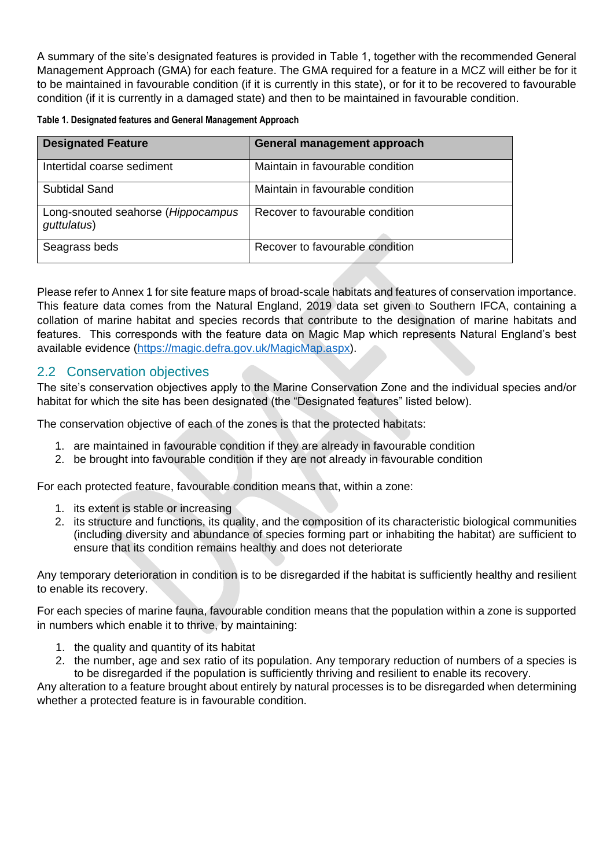A summary of the site's designated features is provided in Table 1, together with the recommended General Management Approach (GMA) for each feature. The GMA required for a feature in a MCZ will either be for it to be maintained in favourable condition (if it is currently in this state), or for it to be recovered to favourable condition (if it is currently in a damaged state) and then to be maintained in favourable condition.

|  |  | Table 1. Designated features and General Management Approach |
|--|--|--------------------------------------------------------------|
|  |  |                                                              |

| <b>Designated Feature</b>                         | General management approach      |
|---------------------------------------------------|----------------------------------|
| Intertidal coarse sediment                        | Maintain in favourable condition |
| <b>Subtidal Sand</b>                              | Maintain in favourable condition |
| Long-snouted seahorse (Hippocampus<br>guttulatus) | Recover to favourable condition  |
| Seagrass beds                                     | Recover to favourable condition  |

Please refer to Annex 1 for site feature maps of broad-scale habitats and features of conservation importance. This feature data comes from the Natural England, 2019 data set given to Southern IFCA, containing a collation of marine habitat and species records that contribute to the designation of marine habitats and features. This corresponds with the feature data on Magic Map which represents Natural England's best available evidence [\(https://magic.defra.gov.uk/MagicMap.aspx\)](https://magic.defra.gov.uk/MagicMap.aspx).

#### <span id="page-5-0"></span>2.2 Conservation objectives

The site's conservation objectives apply to the Marine Conservation Zone and the individual species and/or habitat for which the site has been designated (the "Designated features" listed below).

The conservation objective of each of the zones is that the protected habitats:

- 1. are maintained in favourable condition if they are already in favourable condition
- 2. be brought into favourable condition if they are not already in favourable condition

For each protected feature, favourable condition means that, within a zone:

- 1. its extent is stable or increasing
- 2. its structure and functions, its quality, and the composition of its characteristic biological communities (including diversity and abundance of species forming part or inhabiting the habitat) are sufficient to ensure that its condition remains healthy and does not deteriorate

Any temporary deterioration in condition is to be disregarded if the habitat is sufficiently healthy and resilient to enable its recovery.

For each species of marine fauna, favourable condition means that the population within a zone is supported in numbers which enable it to thrive, by maintaining:

- 1. the quality and quantity of its habitat
- 2. the number, age and sex ratio of its population. Any temporary reduction of numbers of a species is to be disregarded if the population is sufficiently thriving and resilient to enable its recovery.

Any alteration to a feature brought about entirely by natural processes is to be disregarded when determining whether a protected feature is in favourable condition.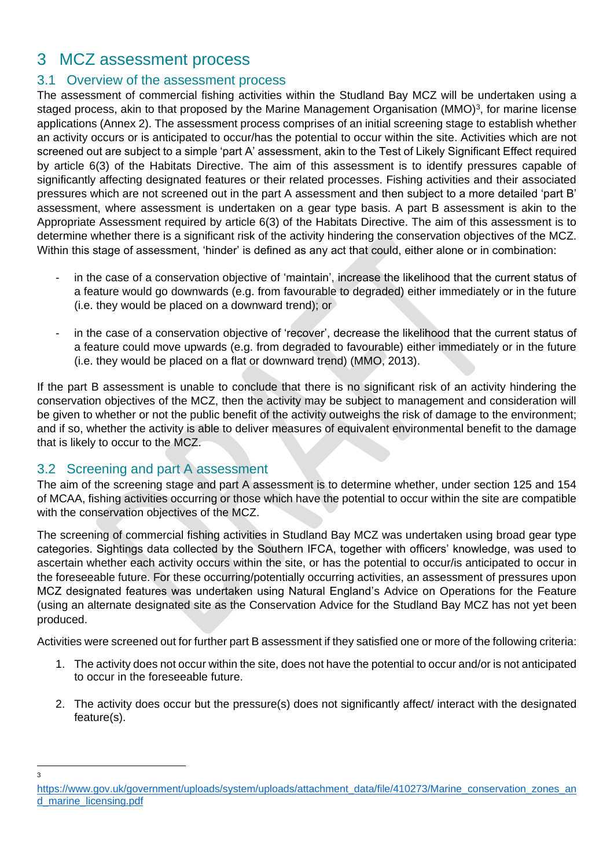# <span id="page-6-0"></span>3 MCZ assessment process

## <span id="page-6-1"></span>3.1 Overview of the assessment process

The assessment of commercial fishing activities within the Studland Bay MCZ will be undertaken using a staged process, akin to that proposed by the Marine Management Organisation (MMO)<sup>3</sup>, for marine license applications (Annex 2). The assessment process comprises of an initial screening stage to establish whether an activity occurs or is anticipated to occur/has the potential to occur within the site. Activities which are not screened out are subject to a simple 'part A' assessment, akin to the Test of Likely Significant Effect required by article 6(3) of the Habitats Directive. The aim of this assessment is to identify pressures capable of significantly affecting designated features or their related processes. Fishing activities and their associated pressures which are not screened out in the part A assessment and then subject to a more detailed 'part B' assessment, where assessment is undertaken on a gear type basis. A part B assessment is akin to the Appropriate Assessment required by article 6(3) of the Habitats Directive. The aim of this assessment is to determine whether there is a significant risk of the activity hindering the conservation objectives of the MCZ. Within this stage of assessment, 'hinder' is defined as any act that could, either alone or in combination:

- in the case of a conservation objective of 'maintain', increase the likelihood that the current status of a feature would go downwards (e.g. from favourable to degraded) either immediately or in the future (i.e. they would be placed on a downward trend); or
- in the case of a conservation objective of 'recover', decrease the likelihood that the current status of a feature could move upwards (e.g. from degraded to favourable) either immediately or in the future (i.e. they would be placed on a flat or downward trend) (MMO, 2013).

If the part B assessment is unable to conclude that there is no significant risk of an activity hindering the conservation objectives of the MCZ, then the activity may be subject to management and consideration will be given to whether or not the public benefit of the activity outweighs the risk of damage to the environment; and if so, whether the activity is able to deliver measures of equivalent environmental benefit to the damage that is likely to occur to the MCZ.

## <span id="page-6-2"></span>3.2 Screening and part A assessment

The aim of the screening stage and part A assessment is to determine whether, under section 125 and 154 of MCAA, fishing activities occurring or those which have the potential to occur within the site are compatible with the conservation objectives of the MCZ.

The screening of commercial fishing activities in Studland Bay MCZ was undertaken using broad gear type categories. Sightings data collected by the Southern IFCA, together with officers' knowledge, was used to ascertain whether each activity occurs within the site, or has the potential to occur/is anticipated to occur in the foreseeable future. For these occurring/potentially occurring activities, an assessment of pressures upon MCZ designated features was undertaken using Natural England's Advice on Operations for the Feature (using an alternate designated site as the Conservation Advice for the Studland Bay MCZ has not yet been produced.

Activities were screened out for further part B assessment if they satisfied one or more of the following criteria:

- 1. The activity does not occur within the site, does not have the potential to occur and/or is not anticipated to occur in the foreseeable future.
- 2. The activity does occur but the pressure(s) does not significantly affect/ interact with the designated feature(s).

<sup>3</sup>

[https://www.gov.uk/government/uploads/system/uploads/attachment\\_data/file/410273/Marine\\_conservation\\_zones\\_an](https://www.gov.uk/government/uploads/system/uploads/attachment_data/file/410273/Marine_conservation_zones_and_marine_licensing.pdf) [d\\_marine\\_licensing.pdf](https://www.gov.uk/government/uploads/system/uploads/attachment_data/file/410273/Marine_conservation_zones_and_marine_licensing.pdf)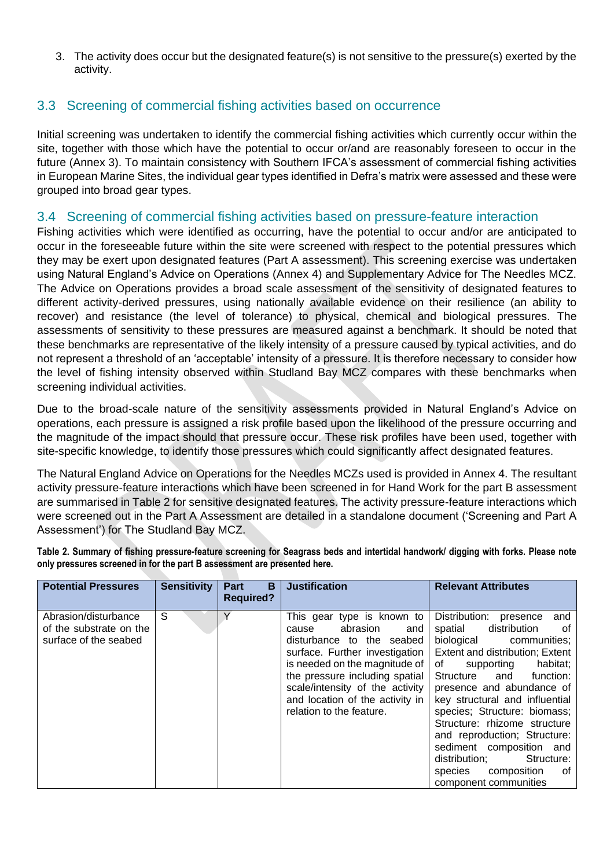3. The activity does occur but the designated feature(s) is not sensitive to the pressure(s) exerted by the activity.

## <span id="page-7-0"></span>3.3 Screening of commercial fishing activities based on occurrence

Initial screening was undertaken to identify the commercial fishing activities which currently occur within the site, together with those which have the potential to occur or/and are reasonably foreseen to occur in the future (Annex 3). To maintain consistency with Southern IFCA's assessment of commercial fishing activities in European Marine Sites, the individual gear types identified in Defra's matrix were assessed and these were grouped into broad gear types.

#### <span id="page-7-1"></span>3.4 Screening of commercial fishing activities based on pressure-feature interaction

Fishing activities which were identified as occurring, have the potential to occur and/or are anticipated to occur in the foreseeable future within the site were screened with respect to the potential pressures which they may be exert upon designated features (Part A assessment). This screening exercise was undertaken using Natural England's Advice on Operations (Annex 4) and Supplementary Advice for The Needles MCZ. The Advice on Operations provides a broad scale assessment of the sensitivity of designated features to different activity-derived pressures, using nationally available evidence on their resilience (an ability to recover) and resistance (the level of tolerance) to physical, chemical and biological pressures. The assessments of sensitivity to these pressures are measured against a benchmark. It should be noted that these benchmarks are representative of the likely intensity of a pressure caused by typical activities, and do not represent a threshold of an 'acceptable' intensity of a pressure. It is therefore necessary to consider how the level of fishing intensity observed within Studland Bay MCZ compares with these benchmarks when screening individual activities.

Due to the broad-scale nature of the sensitivity assessments provided in Natural England's Advice on operations, each pressure is assigned a risk profile based upon the likelihood of the pressure occurring and the magnitude of the impact should that pressure occur. These risk profiles have been used, together with site-specific knowledge, to identify those pressures which could significantly affect designated features.

The Natural England Advice on Operations for the Needles MCZs used is provided in Annex 4. The resultant activity pressure-feature interactions which have been screened in for Hand Work for the part B assessment are summarised in Table 2 for sensitive designated features. The activity pressure-feature interactions which were screened out in the Part A Assessment are detailed in a standalone document ('Screening and Part A Assessment') for The Studland Bay MCZ.

**Table 2. Summary of fishing pressure-feature screening for Seagrass beds and intertidal handwork/ digging with forks. Please note only pressures screened in for the part B assessment are presented here.** 

| <b>Potential Pressures</b>                                               | <b>Sensitivity</b> | B<br>Part<br><b>Required?</b> | <b>Justification</b>                                                                                                                                                                                                                                                                       | <b>Relevant Attributes</b>                                                                                                                                                                                                                                                                                                                                                                                                                                                           |
|--------------------------------------------------------------------------|--------------------|-------------------------------|--------------------------------------------------------------------------------------------------------------------------------------------------------------------------------------------------------------------------------------------------------------------------------------------|--------------------------------------------------------------------------------------------------------------------------------------------------------------------------------------------------------------------------------------------------------------------------------------------------------------------------------------------------------------------------------------------------------------------------------------------------------------------------------------|
| Abrasion/disturbance<br>of the substrate on the<br>surface of the seabed | S                  |                               | This gear type is known to<br>abrasion<br>cause<br>and<br>disturbance to the seabed<br>surface. Further investigation<br>is needed on the magnitude of<br>the pressure including spatial<br>scale/intensity of the activity<br>and location of the activity in<br>relation to the feature. | Distribution:<br>presence<br>and<br>distribution<br>spatial<br>of.<br>biological communities;<br>Extent and distribution; Extent<br>habitat;<br>of<br>supporting<br>Structure<br>function:<br>and<br>presence and abundance of<br>key structural and influential<br>species; Structure: biomass;<br>Structure: rhizome structure<br>and reproduction; Structure:<br>sediment composition and<br>distribution;<br>Structure:<br>composition<br>species<br>of<br>component communities |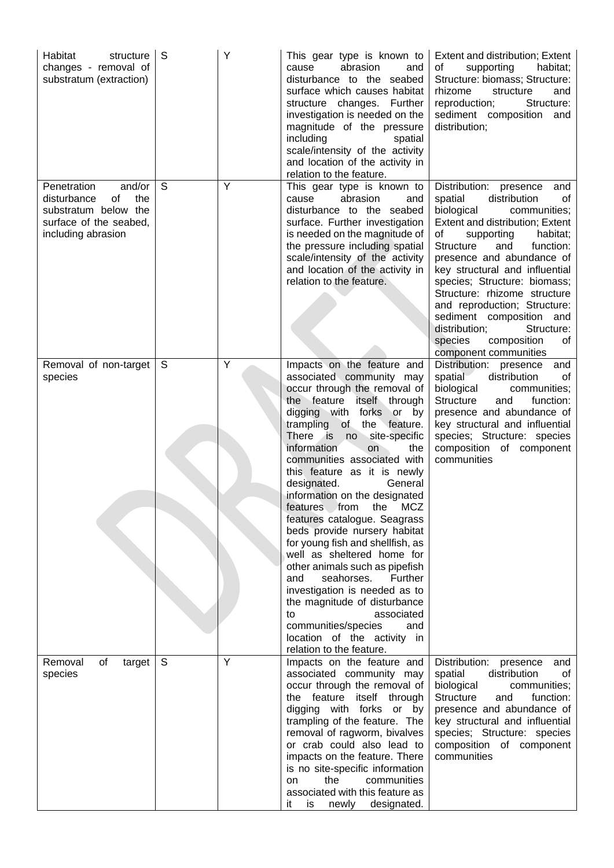| Habitat<br>structure<br>changes - removal of<br>substratum (extraction)                                                   | S | Υ | This gear type is known to<br>cause<br>abrasion<br>and<br>disturbance to the seabed<br>surface which causes habitat<br>structure changes. Further<br>investigation is needed on the<br>magnitude of the pressure<br>including<br>spatial<br>scale/intensity of the activity<br>and location of the activity in<br>relation to the feature.                                                                                                                                                                                                                                                                                                                                                                                                                                                | Extent and distribution; Extent<br>supporting<br>habitat;<br>of<br>Structure: biomass; Structure:<br>rhizome<br>structure<br>and<br>reproduction;<br>Structure:<br>sediment composition and<br>distribution;                                                                                                                                                                                                                                                                        |
|---------------------------------------------------------------------------------------------------------------------------|---|---|-------------------------------------------------------------------------------------------------------------------------------------------------------------------------------------------------------------------------------------------------------------------------------------------------------------------------------------------------------------------------------------------------------------------------------------------------------------------------------------------------------------------------------------------------------------------------------------------------------------------------------------------------------------------------------------------------------------------------------------------------------------------------------------------|-------------------------------------------------------------------------------------------------------------------------------------------------------------------------------------------------------------------------------------------------------------------------------------------------------------------------------------------------------------------------------------------------------------------------------------------------------------------------------------|
| Penetration<br>and/or<br>the<br>disturbance<br>of<br>substratum below the<br>surface of the seabed,<br>including abrasion | S | Y | This gear type is known to<br>abrasion<br>cause<br>and<br>disturbance to the seabed<br>surface. Further investigation<br>is needed on the magnitude of<br>the pressure including spatial<br>scale/intensity of the activity<br>and location of the activity in<br>relation to the feature.                                                                                                                                                                                                                                                                                                                                                                                                                                                                                                | Distribution: presence<br>and<br>distribution<br>spatial<br>οf<br>biological<br>communities;<br>Extent and distribution; Extent<br>of<br>supporting<br>habitat;<br>Structure<br>function:<br>and<br>presence and abundance of<br>key structural and influential<br>species; Structure: biomass;<br>Structure: rhizome structure<br>and reproduction; Structure:<br>sediment composition and<br>distribution;<br>Structure:<br>species<br>composition<br>of<br>component communities |
| Removal of non-target<br>species                                                                                          | S | Υ | Impacts on the feature and<br>associated community may<br>occur through the removal of<br>the feature<br>itself through<br>digging with forks or by<br>trampling of the feature.<br>There is<br>site-specific<br>$n^{\circ}$<br>information<br>on<br>the<br>communities associated with<br>this feature as it is newly<br>designated.<br>General<br>information on the designated<br>features from the MCZ<br>features catalogue. Seagrass<br>beds provide nursery habitat<br>for young fish and shellfish, as<br>well as sheltered home for<br>other animals such as pipefish<br>seahorses. Further<br>and<br>investigation is needed as to<br>the magnitude of disturbance<br>associated<br>to<br>communities/species<br>and<br>location of the activity in<br>relation to the feature. | Distribution: presence<br>and<br>distribution<br>spatial<br>οt<br>biological<br>communities;<br><b>Structure</b><br>function:<br>and<br>presence and abundance of<br>key structural and influential<br>species; Structure: species<br>composition of component<br>communities                                                                                                                                                                                                       |
| Removal<br>of<br>target<br>species                                                                                        | S | Y | Impacts on the feature and<br>associated community may<br>occur through the removal of<br>the feature<br>itself through<br>digging with forks or by<br>trampling of the feature. The<br>removal of ragworm, bivalves<br>or crab could also lead to<br>impacts on the feature. There<br>is no site-specific information<br>the<br>communities<br>on<br>associated with this feature as<br>newly designated.<br>it<br>is                                                                                                                                                                                                                                                                                                                                                                    | Distribution:<br>presence<br>and<br>spatial<br>distribution<br>οf<br>biological<br>communities;<br><b>Structure</b><br>function:<br>and<br>presence and abundance of<br>key structural and influential<br>species; Structure: species<br>composition of component<br>communities                                                                                                                                                                                                    |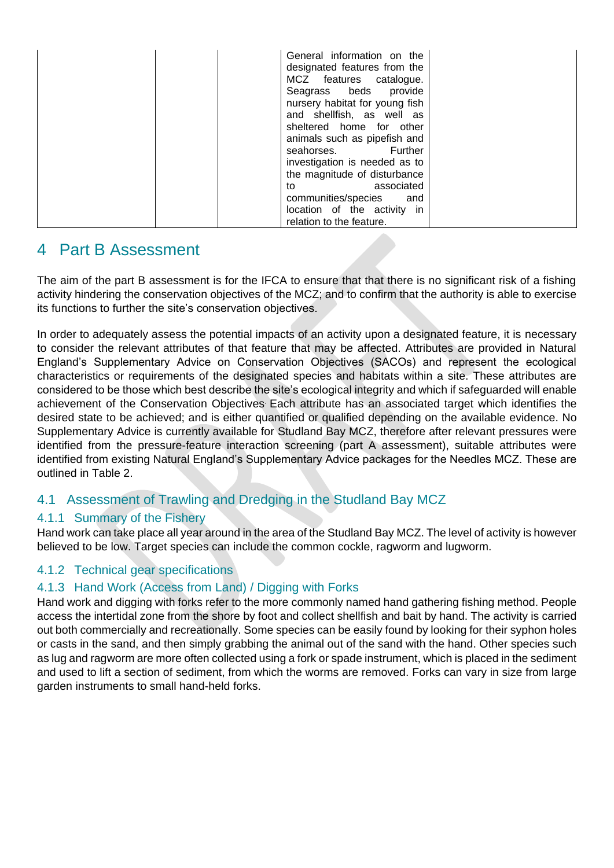|  | General information on the<br>designated features from the<br>MCZ features catalogue.<br>Seagrass beds provide<br>nursery habitat for young fish<br>and shellfish, as well as<br>sheltered home for other<br>animals such as pipefish and<br>Further<br>seahorses.<br>investigation is needed as to<br>the magnitude of disturbance<br>associated<br>to<br>communities/species and<br>location of the activity in<br>relation to the feature. |  |
|--|-----------------------------------------------------------------------------------------------------------------------------------------------------------------------------------------------------------------------------------------------------------------------------------------------------------------------------------------------------------------------------------------------------------------------------------------------|--|
|--|-----------------------------------------------------------------------------------------------------------------------------------------------------------------------------------------------------------------------------------------------------------------------------------------------------------------------------------------------------------------------------------------------------------------------------------------------|--|

# <span id="page-9-0"></span>4 Part B Assessment

The aim of the part B assessment is for the IFCA to ensure that that there is no significant risk of a fishing activity hindering the conservation objectives of the MCZ; and to confirm that the authority is able to exercise its functions to further the site's conservation objectives.

In order to adequately assess the potential impacts of an activity upon a designated feature, it is necessary to consider the relevant attributes of that feature that may be affected. Attributes are provided in Natural England's Supplementary Advice on Conservation Objectives (SACOs) and represent the ecological characteristics or requirements of the designated species and habitats within a site. These attributes are considered to be those which best describe the site's ecological integrity and which if safeguarded will enable achievement of the Conservation Objectives. Each attribute has an associated target which identifies the desired state to be achieved; and is either quantified or qualified depending on the available evidence. No Supplementary Advice is currently available for Studland Bay MCZ, therefore after relevant pressures were identified from the pressure-feature interaction screening (part A assessment), suitable attributes were identified from existing Natural England's Supplementary Advice packages for the Needles MCZ. These are outlined in Table 2.

## <span id="page-9-1"></span>4.1 Assessment of Trawling and Dredging in the Studland Bay MCZ

## <span id="page-9-2"></span>4.1.1 Summary of the Fishery

Hand work can take place all year around in the area of the Studland Bay MCZ. The level of activity is however believed to be low. Target species can include the common cockle, ragworm and lugworm.

## <span id="page-9-3"></span>4.1.2 Technical gear specifications

## <span id="page-9-4"></span>4.1.3 Hand Work (Access from Land) / Digging with Forks

Hand work and digging with forks refer to the more commonly named hand gathering fishing method. People access the intertidal zone from the shore by foot and collect shellfish and bait by hand. The activity is carried out both commercially and recreationally. Some species can be easily found by looking for their syphon holes or casts in the sand, and then simply grabbing the animal out of the sand with the hand. Other species such as lug and ragworm are more often collected using a fork or spade instrument, which is placed in the sediment and used to lift a section of sediment, from which the worms are removed. Forks can vary in size from large garden instruments to small hand-held forks.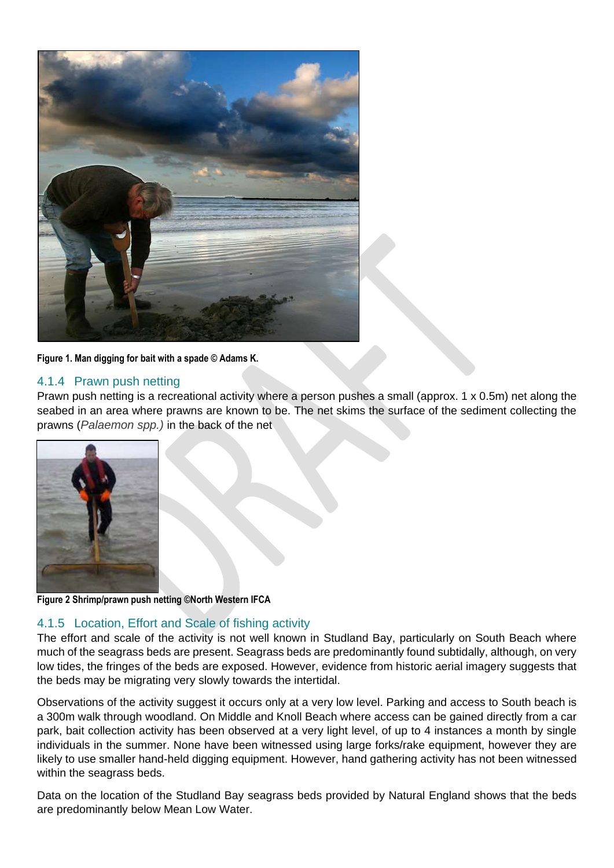

**Figure 1. Man digging for bait with a spade © Adams K.**

#### <span id="page-10-0"></span>4.1.4 Prawn push netting

Prawn push netting is a recreational activity where a person pushes a small (approx. 1 x 0.5m) net along the seabed in an area where prawns are known to be. The net skims the surface of the sediment collecting the prawns (*Palaemon spp.)* in the back of the net



**Figure 2 Shrimp/prawn push netting ©North Western IFCA**

#### <span id="page-10-1"></span>4.1.5 Location, Effort and Scale of fishing activity

The effort and scale of the activity is not well known in Studland Bay, particularly on South Beach where much of the seagrass beds are present. Seagrass beds are predominantly found subtidally, although, on very low tides, the fringes of the beds are exposed. However, evidence from historic aerial imagery suggests that the beds may be migrating very slowly towards the intertidal.

Observations of the activity suggest it occurs only at a very low level. Parking and access to South beach is a 300m walk through woodland. On Middle and Knoll Beach where access can be gained directly from a car park, bait collection activity has been observed at a very light level, of up to 4 instances a month by single individuals in the summer. None have been witnessed using large forks/rake equipment, however they are likely to use smaller hand-held digging equipment. However, hand gathering activity has not been witnessed within the seagrass beds.

Data on the location of the Studland Bay seagrass beds provided by Natural England shows that the beds are predominantly below Mean Low Water.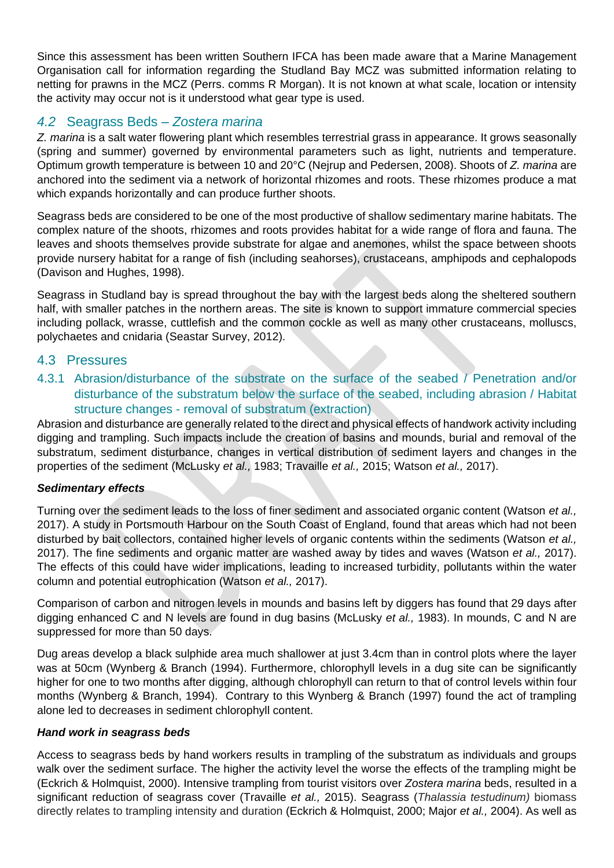Since this assessment has been written Southern IFCA has been made aware that a Marine Management Organisation call for information regarding the Studland Bay MCZ was submitted information relating to netting for prawns in the MCZ (Perrs. comms R Morgan). It is not known at what scale, location or intensity the activity may occur not is it understood what gear type is used.

## <span id="page-11-0"></span>*4.2* Seagrass Beds – *Zostera marina*

*Z. marina* is a salt water flowering plant which resembles terrestrial grass in appearance. It grows seasonally (spring and summer) governed by environmental parameters such as light, nutrients and temperature. Optimum growth temperature is between 10 and 20°C (Nejrup and Pedersen, 2008). Shoots of *Z. marina* are anchored into the sediment via a network of horizontal rhizomes and roots. These rhizomes produce a mat which expands horizontally and can produce further shoots.

Seagrass beds are considered to be one of the most productive of shallow sedimentary marine habitats. The complex nature of the shoots, rhizomes and roots provides habitat for a wide range of flora and fauna. The leaves and shoots themselves provide substrate for algae and anemones, whilst the space between shoots provide nursery habitat for a range of fish (including seahorses), crustaceans, amphipods and cephalopods (Davison and Hughes, 1998).

Seagrass in Studland bay is spread throughout the bay with the largest beds along the sheltered southern half, with smaller patches in the northern areas. The site is known to support immature commercial species including pollack, wrasse, cuttlefish and the common cockle as well as many other crustaceans, molluscs, polychaetes and cnidaria (Seastar Survey, 2012).

#### <span id="page-11-1"></span>4.3 Pressures

<span id="page-11-2"></span>4.3.1 Abrasion/disturbance of the substrate on the surface of the seabed / Penetration and/or disturbance of the substratum below the surface of the seabed, including abrasion / Habitat structure changes - removal of substratum (extraction)

Abrasion and disturbance are generally related to the direct and physical effects of handwork activity including digging and trampling. Such impacts include the creation of basins and mounds, burial and removal of the substratum, sediment disturbance, changes in vertical distribution of sediment layers and changes in the properties of the sediment (McLusky *et al.,* 1983; Travaille *et al.,* 2015; Watson *et al.,* 2017).

#### *Sedimentary effects*

Turning over the sediment leads to the loss of finer sediment and associated organic content (Watson *et al.,* 2017). A study in Portsmouth Harbour on the South Coast of England, found that areas which had not been disturbed by bait collectors, contained higher levels of organic contents within the sediments (Watson *et al.,* 2017). The fine sediments and organic matter are washed away by tides and waves (Watson *et al.,* 2017). The effects of this could have wider implications, leading to increased turbidity, pollutants within the water column and potential eutrophication (Watson *et al.,* 2017).

Comparison of carbon and nitrogen levels in mounds and basins left by diggers has found that 29 days after digging enhanced C and N levels are found in dug basins (McLusky *et al.,* 1983). In mounds, C and N are suppressed for more than 50 days.

Dug areas develop a black sulphide area much shallower at just 3.4cm than in control plots where the layer was at 50cm (Wynberg & Branch (1994). Furthermore, chlorophyll levels in a dug site can be significantly higher for one to two months after digging, although chlorophyll can return to that of control levels within four months (Wynberg & Branch, 1994). Contrary to this Wynberg & Branch (1997) found the act of trampling alone led to decreases in sediment chlorophyll content.

#### *Hand work in seagrass beds*

Access to seagrass beds by hand workers results in trampling of the substratum as individuals and groups walk over the sediment surface. The higher the activity level the worse the effects of the trampling might be (Eckrich & Holmquist, 2000). Intensive trampling from tourist visitors over *Zostera marina* beds, resulted in a significant reduction of seagrass cover (Travaille *et al.,* 2015). Seagrass (*Thalassia testudinum)* biomass directly relates to trampling intensity and duration (Eckrich & Holmquist, 2000; Major *et al.,* 2004). As well as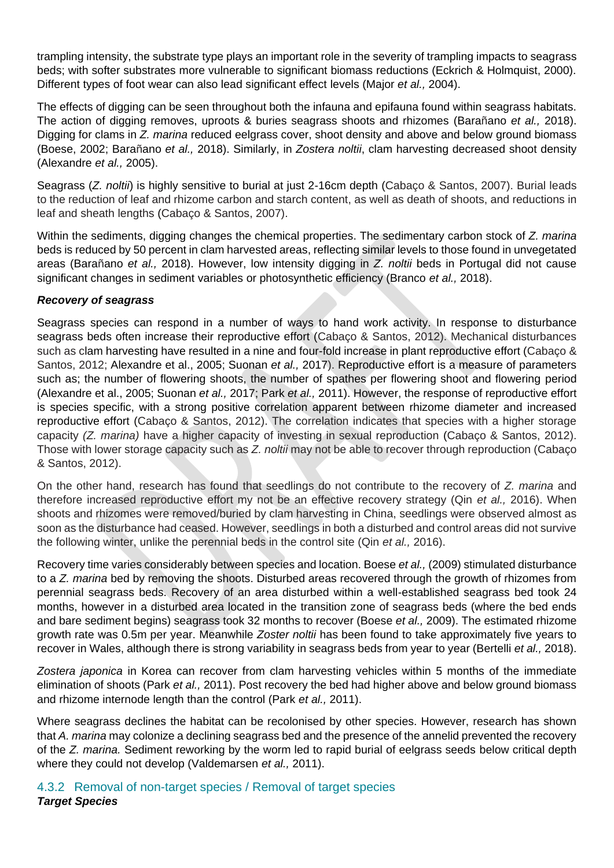trampling intensity, the substrate type plays an important role in the severity of trampling impacts to seagrass beds; with softer substrates more vulnerable to significant biomass reductions (Eckrich & Holmquist, 2000). Different types of foot wear can also lead significant effect levels (Major *et al.,* 2004).

The effects of digging can be seen throughout both the infauna and epifauna found within seagrass habitats. The action of digging removes, uproots & buries seagrass shoots and rhizomes (Barañano *et al.,* 2018). Digging for clams in *Z. marina* reduced eelgrass cover, shoot density and above and below ground biomass (Boese, 2002; Barañano *et al.,* 2018). Similarly, in *Zostera noltii*, clam harvesting decreased shoot density (Alexandre *et al.,* 2005).

Seagrass (*Z. noltii*) is highly sensitive to burial at just 2-16cm depth (Cabaço & Santos, 2007). Burial leads to the reduction of leaf and rhizome carbon and starch content, as well as death of shoots, and reductions in leaf and sheath lengths (Cabaço & Santos, 2007).

Within the sediments, digging changes the chemical properties. The sedimentary carbon stock of *Z. marina* beds is reduced by 50 percent in clam harvested areas, reflecting similar levels to those found in unvegetated areas (Barañano *et al.,* 2018). However, low intensity digging in *Z. noltii* beds in Portugal did not cause significant changes in sediment variables or photosynthetic efficiency (Branco *et al.,* 2018).

#### *Recovery of seagrass*

Seagrass species can respond in a number of ways to hand work activity. In response to disturbance seagrass beds often increase their reproductive effort (Cabaço & Santos, 2012). Mechanical disturbances such as clam harvesting have resulted in a nine and four-fold increase in plant reproductive effort (Cabaço & Santos, 2012; Alexandre et al., 2005; Suonan *et al.,* 2017). Reproductive effort is a measure of parameters such as; the number of flowering shoots, the number of spathes per flowering shoot and flowering period (Alexandre et al., 2005; Suonan *et al.,* 2017; Park *et al.,* 2011). However, the response of reproductive effort is species specific, with a strong positive correlation apparent between rhizome diameter and increased reproductive effort (Cabaço & Santos, 2012). The correlation indicates that species with a higher storage capacity *(Z. marina)* have a higher capacity of investing in sexual reproduction (Cabaço & Santos, 2012). Those with lower storage capacity such as *Z. noltii* may not be able to recover through reproduction (Cabaço & Santos, 2012).

On the other hand, research has found that seedlings do not contribute to the recovery of *Z. marina* and therefore increased reproductive effort my not be an effective recovery strategy (Qin *et al.,* 2016). When shoots and rhizomes were removed/buried by clam harvesting in China, seedlings were observed almost as soon as the disturbance had ceased. However, seedlings in both a disturbed and control areas did not survive the following winter, unlike the perennial beds in the control site (Qin *et al.,* 2016).

Recovery time varies considerably between species and location. Boese *et al.,* (2009) stimulated disturbance to a *Z. marina* bed by removing the shoots. Disturbed areas recovered through the growth of rhizomes from perennial seagrass beds. Recovery of an area disturbed within a well-established seagrass bed took 24 months, however in a disturbed area located in the transition zone of seagrass beds (where the bed ends and bare sediment begins) seagrass took 32 months to recover (Boese *et al.,* 2009). The estimated rhizome growth rate was 0.5m per year. Meanwhile *Zoster noltii* has been found to take approximately five years to recover in Wales, although there is strong variability in seagrass beds from year to year (Bertelli *et al.,* 2018).

*Zostera japonica* in Korea can recover from clam harvesting vehicles within 5 months of the immediate elimination of shoots (Park *et al.,* 2011). Post recovery the bed had higher above and below ground biomass and rhizome internode length than the control (Park *et al.,* 2011).

Where seagrass declines the habitat can be recolonised by other species. However, research has shown that *A. marina* may colonize a declining seagrass bed and the presence of the annelid prevented the recovery of the *Z. marina.* Sediment reworking by the worm led to rapid burial of eelgrass seeds below critical depth where they could not develop (Valdemarsen *et al.,* 2011).

<span id="page-12-0"></span>4.3.2 Removal of non-target species / Removal of target species *Target Species*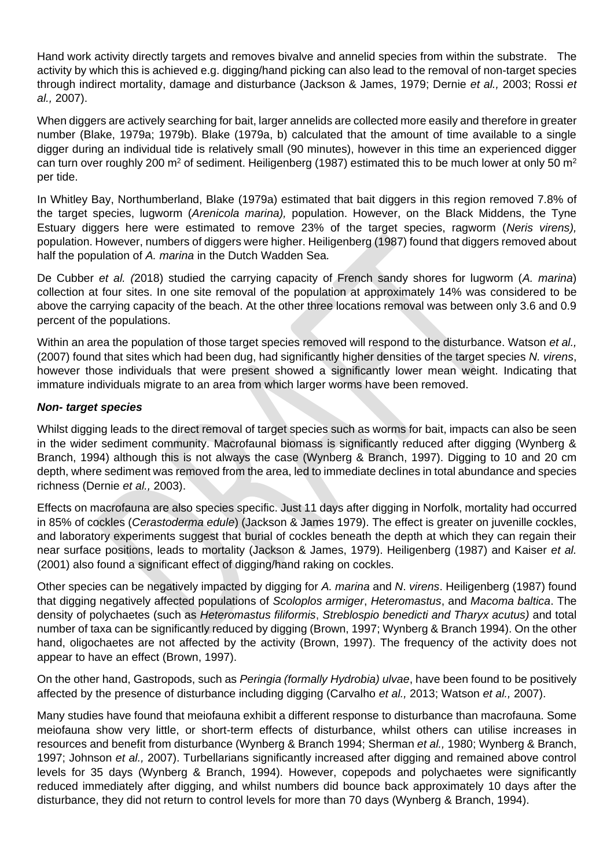Hand work activity directly targets and removes bivalve and annelid species from within the substrate. The activity by which this is achieved e.g. digging/hand picking can also lead to the removal of non-target species through indirect mortality, damage and disturbance (Jackson & James, 1979; Dernie *et al.,* 2003; Rossi *et al.,* 2007).

When diggers are actively searching for bait, larger annelids are collected more easily and therefore in greater number (Blake, 1979a; 1979b). Blake (1979a, b) calculated that the amount of time available to a single digger during an individual tide is relatively small (90 minutes), however in this time an experienced digger can turn over roughly 200 m<sup>2</sup> of sediment. Heiligenberg (1987) estimated this to be much lower at only 50 m<sup>2</sup> per tide.

In Whitley Bay, Northumberland, Blake (1979a) estimated that bait diggers in this region removed 7.8% of the target species, lugworm (*Arenicola marina),* population. However, on the Black Middens, the Tyne Estuary diggers here were estimated to remove 23% of the target species, ragworm (*Neris virens),* population. However, numbers of diggers were higher. Heiligenberg (1987) found that diggers removed about half the population of *A. marina* in the Dutch Wadden Sea*.*

De Cubber *et al. (*2018) studied the carrying capacity of French sandy shores for lugworm (*A. marina*) collection at four sites. In one site removal of the population at approximately 14% was considered to be above the carrying capacity of the beach. At the other three locations removal was between only 3.6 and 0.9 percent of the populations.

Within an area the population of those target species removed will respond to the disturbance. Watson *et al.,* (2007) found that sites which had been dug, had significantly higher densities of the target species *N. virens*, however those individuals that were present showed a significantly lower mean weight. Indicating that immature individuals migrate to an area from which larger worms have been removed.

#### *Non- target species*

Whilst digging leads to the direct removal of target species such as worms for bait, impacts can also be seen in the wider sediment community. Macrofaunal biomass is significantly reduced after digging (Wynberg & Branch, 1994) although this is not always the case (Wynberg & Branch, 1997). Digging to 10 and 20 cm depth, where sediment was removed from the area, led to immediate declines in total abundance and species richness (Dernie *et al.,* 2003).

Effects on macrofauna are also species specific. Just 11 days after digging in Norfolk, mortality had occurred in 85% of cockles (*Cerastoderma edule*) (Jackson & James 1979). The effect is greater on juvenille cockles, and laboratory experiments suggest that burial of cockles beneath the depth at which they can regain their near surface positions, leads to mortality (Jackson & James, 1979). Heiligenberg (1987) and Kaiser *et al.* (2001) also found a significant effect of digging/hand raking on cockles.

Other species can be negatively impacted by digging for *A. marina* and *N*. *virens*. Heiligenberg (1987) found that digging negatively affected populations of *Scoloplos armiger*, *Heteromastus*, and *Macoma baltica*. The density of polychaetes (such as *Heteromastus filiformis*, *Streblospio benedicti and Tharyx acutus)* and total number of taxa can be significantly reduced by digging (Brown, 1997; Wynberg & Branch 1994). On the other hand, oligochaetes are not affected by the activity (Brown, 1997). The frequency of the activity does not appear to have an effect (Brown, 1997).

On the other hand, Gastropods, such as *Peringia (formally Hydrobia) ulvae*, have been found to be positively affected by the presence of disturbance including digging (Carvalho *et al.,* 2013; Watson *et al.,* 2007).

Many studies have found that meiofauna exhibit a different response to disturbance than macrofauna. Some meiofauna show very little, or short-term effects of disturbance, whilst others can utilise increases in resources and benefit from disturbance (Wynberg & Branch 1994; Sherman *et al.,* 1980; Wynberg & Branch, 1997; Johnson *et al.,* 2007). Turbellarians significantly increased after digging and remained above control levels for 35 days (Wynberg & Branch, 1994). However, copepods and polychaetes were significantly reduced immediately after digging, and whilst numbers did bounce back approximately 10 days after the disturbance, they did not return to control levels for more than 70 days (Wynberg & Branch, 1994).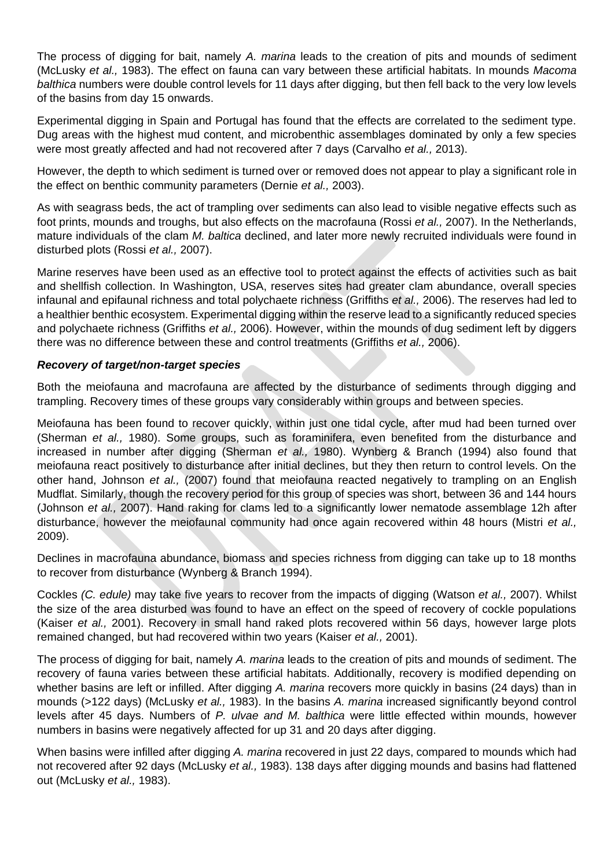The process of digging for bait, namely *A. marina* leads to the creation of pits and mounds of sediment (McLusky *et al.,* 1983). The effect on fauna can vary between these artificial habitats. In mounds *Macoma balthica* numbers were double control levels for 11 days after digging, but then fell back to the very low levels of the basins from day 15 onwards.

Experimental digging in Spain and Portugal has found that the effects are correlated to the sediment type. Dug areas with the highest mud content, and microbenthic assemblages dominated by only a few species were most greatly affected and had not recovered after 7 days (Carvalho *et al.,* 2013).

However, the depth to which sediment is turned over or removed does not appear to play a significant role in the effect on benthic community parameters (Dernie *et al.,* 2003).

As with seagrass beds, the act of trampling over sediments can also lead to visible negative effects such as foot prints, mounds and troughs, but also effects on the macrofauna (Rossi *et al.,* 2007). In the Netherlands, mature individuals of the clam *M. baltica* declined, and later more newly recruited individuals were found in disturbed plots (Rossi *et al.,* 2007).

Marine reserves have been used as an effective tool to protect against the effects of activities such as bait and shellfish collection. In Washington, USA, reserves sites had greater clam abundance, overall species infaunal and epifaunal richness and total polychaete richness (Griffiths *et al.,* 2006). The reserves had led to a healthier benthic ecosystem. Experimental digging within the reserve lead to a significantly reduced species and polychaete richness (Griffiths *et al.,* 2006). However, within the mounds of dug sediment left by diggers there was no difference between these and control treatments (Griffiths *et al.,* 2006).

#### *Recovery of target/non-target species*

Both the meiofauna and macrofauna are affected by the disturbance of sediments through digging and trampling. Recovery times of these groups vary considerably within groups and between species.

Meiofauna has been found to recover quickly, within just one tidal cycle, after mud had been turned over (Sherman *et al.,* 1980). Some groups, such as foraminifera, even benefited from the disturbance and increased in number after digging (Sherman *et al.,* 1980). Wynberg & Branch (1994) also found that meiofauna react positively to disturbance after initial declines, but they then return to control levels. On the other hand, Johnson *et al.,* (2007) found that meiofauna reacted negatively to trampling on an English Mudflat. Similarly, though the recovery period for this group of species was short, between 36 and 144 hours (Johnson *et al.,* 2007). Hand raking for clams led to a significantly lower nematode assemblage 12h after disturbance, however the meiofaunal community had once again recovered within 48 hours (Mistri *et al.,* 2009).

Declines in macrofauna abundance, biomass and species richness from digging can take up to 18 months to recover from disturbance (Wynberg & Branch 1994).

Cockles *(C. edule)* may take five years to recover from the impacts of digging (Watson *et al.,* 2007). Whilst the size of the area disturbed was found to have an effect on the speed of recovery of cockle populations (Kaiser *et al.,* 2001). Recovery in small hand raked plots recovered within 56 days, however large plots remained changed, but had recovered within two years (Kaiser *et al.,* 2001).

The process of digging for bait, namely *A. marina* leads to the creation of pits and mounds of sediment. The recovery of fauna varies between these artificial habitats. Additionally, recovery is modified depending on whether basins are left or infilled. After digging *A. marina* recovers more quickly in basins (24 days) than in mounds (>122 days) (McLusky *et al.,* 1983). In the basins *A. marina* increased significantly beyond control levels after 45 days. Numbers of *P. ulvae and M. balthica* were little effected within mounds, however numbers in basins were negatively affected for up 31 and 20 days after digging.

When basins were infilled after digging *A. marina* recovered in just 22 days, compared to mounds which had not recovered after 92 days (McLusky *et al.,* 1983). 138 days after digging mounds and basins had flattened out (McLusky *et al.,* 1983).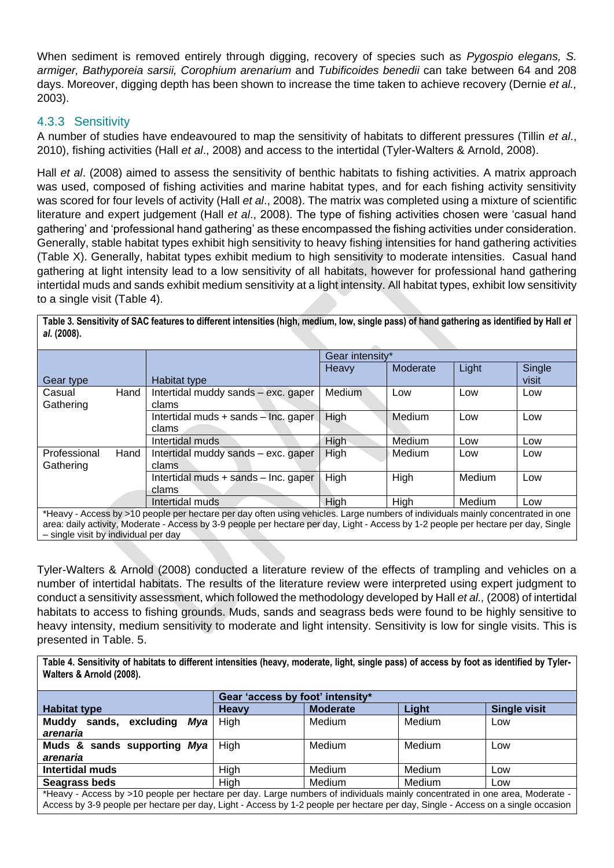When sediment is removed entirely through digging, recovery of species such as *Pygospio elegans, S. armiger, Bathyporeia sarsii, Corophium arenarium* and *Tubificoides benedii* can take between 64 and 208 days. Moreover, digging depth has been shown to increase the time taken to achieve recovery (Dernie *et al.,* 2003).

#### <span id="page-15-0"></span>4.3.3 Sensitivity

A number of studies have endeavoured to map the sensitivity of habitats to different pressures (Tillin *et al*., 2010), fishing activities (Hall *et al*., 2008) and access to the intertidal (Tyler-Walters & Arnold, 2008).

Hall *et al*. (2008) aimed to assess the sensitivity of benthic habitats to fishing activities. A matrix approach was used, composed of fishing activities and marine habitat types, and for each fishing activity sensitivity was scored for four levels of activity (Hall *et al*., 2008). The matrix was completed using a mixture of scientific literature and expert judgement (Hall *et al*., 2008). The type of fishing activities chosen were 'casual hand gathering' and 'professional hand gathering' as these encompassed the fishing activities under consideration. Generally, stable habitat types exhibit high sensitivity to heavy fishing intensities for hand gathering activities (Table X). Generally, habitat types exhibit medium to high sensitivity to moderate intensities. Casual hand gathering at light intensity lead to a low sensitivity of all habitats, however for professional hand gathering intertidal muds and sands exhibit medium sensitivity at a light intensity. All habitat types, exhibit low sensitivity to a single visit (Table 4).

**Table 3. Sensitivity of SAC features to different intensities (high, medium, low, single pass) of hand gathering as identified by Hall** *et al***. (2008).**

|              |                                                                                                                                                                                                                                |                                      |        | Gear intensity* |        |        |  |
|--------------|--------------------------------------------------------------------------------------------------------------------------------------------------------------------------------------------------------------------------------|--------------------------------------|--------|-----------------|--------|--------|--|
|              |                                                                                                                                                                                                                                |                                      | Heavy  | Moderate        | Light  | Single |  |
| Gear type    |                                                                                                                                                                                                                                | Habitat type                         |        |                 |        | visit  |  |
| Casual       | Hand                                                                                                                                                                                                                           | Intertidal muddy sands - exc. gaper  | Medium | Low             | Low    | Low    |  |
| Gathering    |                                                                                                                                                                                                                                | clams                                |        |                 |        |        |  |
|              |                                                                                                                                                                                                                                | Intertidal muds + sands - Inc. gaper | High   | Medium          | Low    | Low    |  |
|              |                                                                                                                                                                                                                                | clams                                |        |                 |        |        |  |
|              |                                                                                                                                                                                                                                | Intertidal muds                      | High   | Medium          | Low    | Low    |  |
| Professional | Hand                                                                                                                                                                                                                           | Intertidal muddy sands - exc. gaper  | High   | Medium          | Low    | Low    |  |
| Gathering    |                                                                                                                                                                                                                                | clams                                |        |                 |        |        |  |
|              |                                                                                                                                                                                                                                | Intertidal muds + sands - Inc. gaper | High   | High            | Medium | Low    |  |
|              |                                                                                                                                                                                                                                | clams                                |        |                 |        |        |  |
|              |                                                                                                                                                                                                                                | Intertidal muds                      | High   | High            | Medium | Low    |  |
|              | * Logic Apopologicky AO washington hadden bereader of the indicated the second agent of the distribution medicine operation of the second second the second second the second second second second second second second second |                                      |        |                 |        |        |  |

\*Heavy - Access by >10 people per hectare per day often using vehicles. Large numbers of individuals mainly concentrated in one area: daily activity, Moderate - Access by 3-9 people per hectare per day, Light - Access by 1-2 people per hectare per day, Single – single visit by individual per day

Tyler-Walters & Arnold (2008) conducted a literature review of the effects of trampling and vehicles on a number of intertidal habitats. The results of the literature review were interpreted using expert judgment to conduct a sensitivity assessment, which followed the methodology developed by Hall *et al.,* (2008) of intertidal habitats to access to fishing grounds. Muds, sands and seagrass beds were found to be highly sensitive to heavy intensity, medium sensitivity to moderate and light intensity. Sensitivity is low for single visits. This is presented in Table. 5.

**Table 4. Sensitivity of habitats to different intensities (heavy, moderate, light, single pass) of access by foot as identified by Tyler-Walters & Arnold (2008).**

|                                                                                                                 | Gear 'access by foot' intensity* |                 |        |                     |  |
|-----------------------------------------------------------------------------------------------------------------|----------------------------------|-----------------|--------|---------------------|--|
| <b>Habitat type</b>                                                                                             | <b>Heavy</b>                     | <b>Moderate</b> | Light  | <b>Single visit</b> |  |
| Muddy sands, excluding Mya                                                                                      | High                             | Medium          | Medium | Low                 |  |
| arenaria                                                                                                        |                                  |                 |        |                     |  |
| Muds & sands supporting Mya                                                                                     | High                             | Medium          | Medium | Low                 |  |
| arenaria                                                                                                        |                                  |                 |        |                     |  |
| <b>Intertidal muds</b>                                                                                          | High                             | Medium          | Medium | Low                 |  |
| Seagrass beds                                                                                                   | High                             | Medium          | Medium | Low                 |  |
| with a relation of the state of the contract of the state of the state of the state of the state of the state o |                                  |                 |        |                     |  |

\*Heavy - Access by >10 people per hectare per day. Large numbers of individuals mainly concentrated in one area, Moderate - Access by 3-9 people per hectare per day, Light - Access by 1-2 people per hectare per day, Single - Access on a single occasion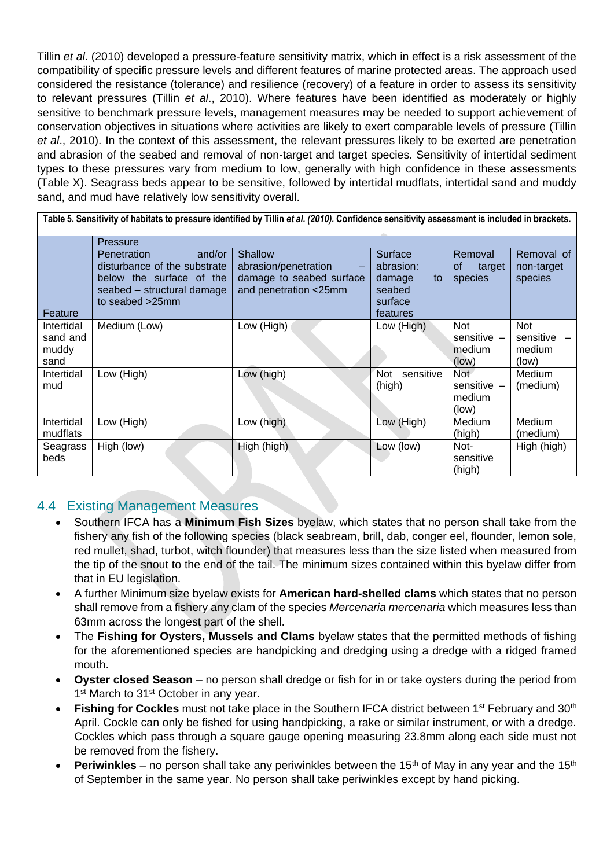Tillin *et al*. (2010) developed a pressure-feature sensitivity matrix, which in effect is a risk assessment of the compatibility of specific pressure levels and different features of marine protected areas. The approach used considered the resistance (tolerance) and resilience (recovery) of a feature in order to assess its sensitivity to relevant pressures (Tillin *et al*., 2010). Where features have been identified as moderately or highly sensitive to benchmark pressure levels, management measures may be needed to support achievement of conservation objectives in situations where activities are likely to exert comparable levels of pressure (Tillin *et al*., 2010). In the context of this assessment, the relevant pressures likely to be exerted are penetration and abrasion of the seabed and removal of non-target and target species. Sensitivity of intertidal sediment types to these pressures vary from medium to low, generally with high confidence in these assessments (Table X). Seagrass beds appear to be sensitive, followed by intertidal mudflats, intertidal sand and muddy sand, and mud have relatively low sensitivity overall.

|                                         | Table 5. Sensitivity of habitats to pressure identified by Tillin et al. (2010). Confidence sensitivity assessment is included in brackets.  |                                                                                      |                                                                       |                                                      |                                            |
|-----------------------------------------|----------------------------------------------------------------------------------------------------------------------------------------------|--------------------------------------------------------------------------------------|-----------------------------------------------------------------------|------------------------------------------------------|--------------------------------------------|
|                                         | <b>Pressure</b>                                                                                                                              |                                                                                      |                                                                       |                                                      |                                            |
| Feature                                 | <b>Penetration</b><br>and/or<br>disturbance of the substrate<br>below the surface of the<br>seabed - structural damage<br>to seabed $>25$ mm | Shallow<br>abrasion/penetration<br>damage to seabed surface<br>and penetration <25mm | Surface<br>abrasion:<br>damage<br>to<br>seabed<br>surface<br>features | Removal<br>οf<br>target<br>species                   | Removal of<br>non-target<br>species        |
| Intertidal<br>sand and<br>muddy<br>sand | Medium (Low)                                                                                                                                 | Low (High)                                                                           | Low (High)                                                            | <b>Not</b><br>sensitive $-$<br>medium<br>(low)       | <b>Not</b><br>sensitive<br>medium<br>(low) |
| Intertidal<br>mud                       | Low (High)                                                                                                                                   | Low (high)                                                                           | sensitive<br><b>Not</b><br>(high)                                     | Not <sup>-</sup><br>sensitive $-$<br>medium<br>(low) | Medium<br>(medium)                         |
| Intertidal<br>mudflats                  | Low (High)                                                                                                                                   | Low (high)                                                                           | Low (High)                                                            | Medium<br>(high)                                     | <b>Medium</b><br>(medium)                  |
| Seagrass<br>beds                        | High (low)                                                                                                                                   | High (high)                                                                          | Low (low)                                                             | Not-<br>sensitive<br>(high)                          | High (high)                                |

## <span id="page-16-0"></span>4.4 Existing Management Measures

- Southern IFCA has a **Minimum Fish Sizes** byelaw, which states that no person shall take from the fishery any fish of the following species (black seabream, brill, dab, conger eel, flounder, lemon sole, red mullet, shad, turbot, witch flounder) that measures less than the size listed when measured from the tip of the snout to the end of the tail. The minimum sizes contained within this byelaw differ from that in EU legislation.
- A further Minimum size byelaw exists for **American hard-shelled clams** which states that no person shall remove from a fishery any clam of the species *Mercenaria mercenaria* which measures less than 63mm across the longest part of the shell.
- The **Fishing for Oysters, Mussels and Clams** byelaw states that the permitted methods of fishing for the aforementioned species are handpicking and dredging using a dredge with a ridged framed mouth.
- **Oyster closed Season** no person shall dredge or fish for in or take oysters during the period from 1<sup>st</sup> March to 31<sup>st</sup> October in any year.
- **Fishing for Cockles** must not take place in the Southern IFCA district between 1<sup>st</sup> February and 30<sup>th</sup> April. Cockle can only be fished for using handpicking, a rake or similar instrument, or with a dredge. Cockles which pass through a square gauge opening measuring 23.8mm along each side must not be removed from the fishery.
- **Periwinkles** no person shall take any periwinkles between the 15<sup>th</sup> of May in any year and the 15<sup>th</sup> of September in the same year. No person shall take periwinkles except by hand picking.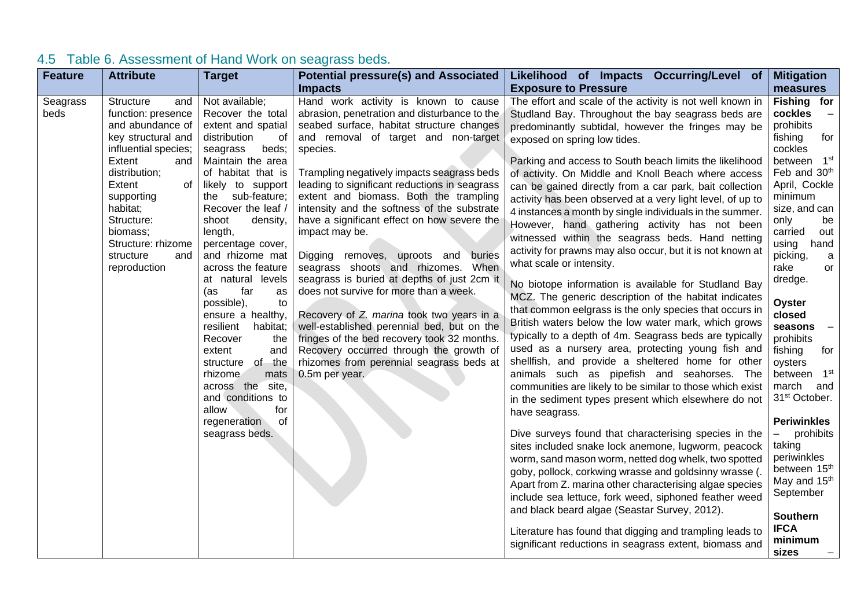<span id="page-18-0"></span>

| <b>Feature</b>   | <b>Attribute</b>                                                                                                                                                                                                                                                         | <b>Target</b>                                                                                                                                                                                                                                                                                                                                                                                                                                                                                                                                                                                            | <b>Potential pressure(s) and Associated</b><br><b>Impacts</b>                                                                                                                                                                                                                                                                                                                                                                                                                                                                                                                                                                                                                                                                                                                                                                                                              | Likelihood of Impacts Occurring/Level of<br><b>Exposure to Pressure</b>                                                                                                                                                                                                                                                                                                                                                                                                                                                                                                                                                                                                                                                                                                                                                                                                                                                                                                                                                                                                                                                                                                                                                                                                                                                                                                                                                                                                                                                                                                                                                                                                                                                                                                                                                                 | <b>Mitigation</b><br>measures                                                                                                                                                                                                                                                                                                                                                                                                                                                                                                                                                                                           |
|------------------|--------------------------------------------------------------------------------------------------------------------------------------------------------------------------------------------------------------------------------------------------------------------------|----------------------------------------------------------------------------------------------------------------------------------------------------------------------------------------------------------------------------------------------------------------------------------------------------------------------------------------------------------------------------------------------------------------------------------------------------------------------------------------------------------------------------------------------------------------------------------------------------------|----------------------------------------------------------------------------------------------------------------------------------------------------------------------------------------------------------------------------------------------------------------------------------------------------------------------------------------------------------------------------------------------------------------------------------------------------------------------------------------------------------------------------------------------------------------------------------------------------------------------------------------------------------------------------------------------------------------------------------------------------------------------------------------------------------------------------------------------------------------------------|-----------------------------------------------------------------------------------------------------------------------------------------------------------------------------------------------------------------------------------------------------------------------------------------------------------------------------------------------------------------------------------------------------------------------------------------------------------------------------------------------------------------------------------------------------------------------------------------------------------------------------------------------------------------------------------------------------------------------------------------------------------------------------------------------------------------------------------------------------------------------------------------------------------------------------------------------------------------------------------------------------------------------------------------------------------------------------------------------------------------------------------------------------------------------------------------------------------------------------------------------------------------------------------------------------------------------------------------------------------------------------------------------------------------------------------------------------------------------------------------------------------------------------------------------------------------------------------------------------------------------------------------------------------------------------------------------------------------------------------------------------------------------------------------------------------------------------------------|-------------------------------------------------------------------------------------------------------------------------------------------------------------------------------------------------------------------------------------------------------------------------------------------------------------------------------------------------------------------------------------------------------------------------------------------------------------------------------------------------------------------------------------------------------------------------------------------------------------------------|
| Seagrass<br>beds | Structure<br>and<br>function: presence<br>and abundance of<br>key structural and<br>influential species;<br>Extent<br>and<br>distribution;<br>Extent<br>of<br>supporting<br>habitat;<br>Structure:<br>biomass;<br>Structure: rhizome<br>structure<br>and<br>reproduction | Not available;<br>Recover the total<br>extent and spatial<br>distribution<br>оf<br>seagrass<br>beds;<br>Maintain the area<br>of habitat that is<br>likely to support<br>the sub-feature;<br>Recover the leaf /<br>shoot<br>density,<br>length,<br>percentage cover,<br>and rhizome mat<br>across the feature<br>at natural levels<br>far<br>(as<br>as<br>possible),<br>to<br>ensure a healthy,<br>resilient<br>habitat;<br>the<br>Recover<br>extent<br>and<br>of the<br>structure<br>rhizome<br>mats<br>across the<br>site,<br>and conditions to<br>allow<br>for<br>regeneration<br>of<br>seagrass beds. | Hand work activity is known to cause<br>abrasion, penetration and disturbance to the<br>seabed surface, habitat structure changes<br>and removal of target and non-target<br>species.<br>Trampling negatively impacts seagrass beds<br>leading to significant reductions in seagrass<br>extent and biomass. Both the trampling<br>intensity and the softness of the substrate<br>have a significant effect on how severe the<br>impact may be.<br>Digging removes, uproots and<br>buries<br>seagrass shoots and rhizomes. When<br>seagrass is buried at depths of just 2cm it<br>does not survive for more than a week.<br>Recovery of Z. marina took two years in a<br>well-established perennial bed, but on the<br>fringes of the bed recovery took 32 months.<br>Recovery occurred through the growth of<br>rhizomes from perennial seagrass beds at<br>0.5m per year. | The effort and scale of the activity is not well known in<br>Studland Bay. Throughout the bay seagrass beds are<br>predominantly subtidal, however the fringes may be<br>exposed on spring low tides.<br>Parking and access to South beach limits the likelihood<br>of activity. On Middle and Knoll Beach where access<br>can be gained directly from a car park, bait collection<br>activity has been observed at a very light level, of up to<br>4 instances a month by single individuals in the summer.<br>However, hand gathering activity has not been<br>witnessed within the seagrass beds. Hand netting<br>activity for prawns may also occur, but it is not known at<br>what scale or intensity.<br>No biotope information is available for Studland Bay<br>MCZ. The generic description of the habitat indicates<br>that common eelgrass is the only species that occurs in<br>British waters below the low water mark, which grows<br>typically to a depth of 4m. Seagrass beds are typically<br>used as a nursery area, protecting young fish and<br>shellfish, and provide a sheltered home for other<br>animals such as pipefish and seahorses. The<br>communities are likely to be similar to those which exist<br>in the sediment types present which elsewhere do not<br>have seagrass.<br>Dive surveys found that characterising species in the<br>sites included snake lock anemone, lugworm, peacock<br>worm, sand mason worm, netted dog whelk, two spotted<br>goby, pollock, corkwing wrasse and goldsinny wrasse (.<br>Apart from Z. marina other characterising algae species<br>include sea lettuce, fork weed, siphoned feather weed<br>and black beard algae (Seastar Survey, 2012).<br>Literature has found that digging and trampling leads to<br>significant reductions in seagrass extent, biomass and | Fishing for<br>cockles<br>$\equiv$<br>prohibits<br>fishing<br>for<br>cockles<br>between 1st<br>Feb and 30 <sup>th</sup><br>April, Cockle<br>minimum<br>size, and can<br>only<br>be<br>carried<br>out<br>using<br>hand<br>picking,<br>a<br>rake<br>or<br>dredge.<br>Oyster<br>closed<br>seasons<br>$\overline{\phantom{a}}$<br>prohibits<br>fishing<br>for<br>oysters<br>between 1st<br>march<br>and<br>31 <sup>st</sup> October.<br><b>Periwinkles</b><br>prohibits<br>taking<br>periwinkles<br>between 15 <sup>th</sup><br>May and 15 <sup>th</sup><br>September<br><b>Southern</b><br><b>IFCA</b><br>minimum<br>sizes |

# 4.5 Table 6. Assessment of Hand Work on seagrass beds.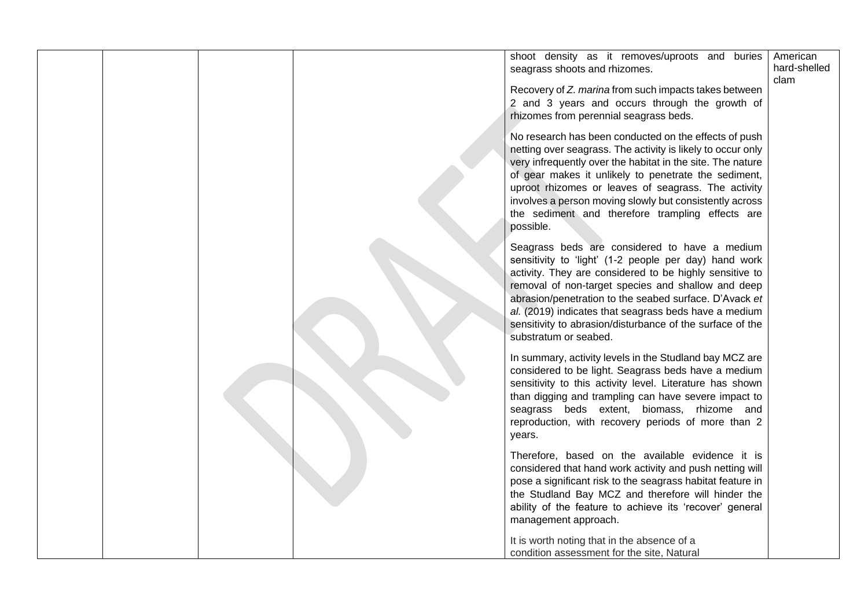|  | shoot density as it removes/uproots and buries<br>seagrass shoots and rhizomes.                                                                                                                                                                                                                                                                                                                                                  | American<br>hard-shelled<br>clam |
|--|----------------------------------------------------------------------------------------------------------------------------------------------------------------------------------------------------------------------------------------------------------------------------------------------------------------------------------------------------------------------------------------------------------------------------------|----------------------------------|
|  | Recovery of Z. marina from such impacts takes between<br>2 and 3 years and occurs through the growth of<br>rhizomes from perennial seagrass beds.                                                                                                                                                                                                                                                                                |                                  |
|  | No research has been conducted on the effects of push<br>netting over seagrass. The activity is likely to occur only<br>very infrequently over the habitat in the site. The nature<br>of gear makes it unlikely to penetrate the sediment,<br>uproot rhizomes or leaves of seagrass. The activity<br>involves a person moving slowly but consistently across<br>the sediment and therefore trampling effects are<br>possible.    |                                  |
|  | Seagrass beds are considered to have a medium<br>sensitivity to 'light' (1-2 people per day) hand work<br>activity. They are considered to be highly sensitive to<br>removal of non-target species and shallow and deep<br>abrasion/penetration to the seabed surface. D'Avack et<br>al. (2019) indicates that seagrass beds have a medium<br>sensitivity to abrasion/disturbance of the surface of the<br>substratum or seabed. |                                  |
|  | In summary, activity levels in the Studland bay MCZ are<br>considered to be light. Seagrass beds have a medium<br>sensitivity to this activity level. Literature has shown<br>than digging and trampling can have severe impact to<br>seagrass beds extent, biomass, rhizome and<br>reproduction, with recovery periods of more than 2<br>years.                                                                                 |                                  |
|  | Therefore, based on the available evidence it is<br>considered that hand work activity and push netting will<br>pose a significant risk to the seagrass habitat feature in<br>the Studland Bay MCZ and therefore will hinder the<br>ability of the feature to achieve its 'recover' general<br>management approach.                                                                                                              |                                  |
|  | It is worth noting that in the absence of a<br>condition assessment for the site, Natural                                                                                                                                                                                                                                                                                                                                        |                                  |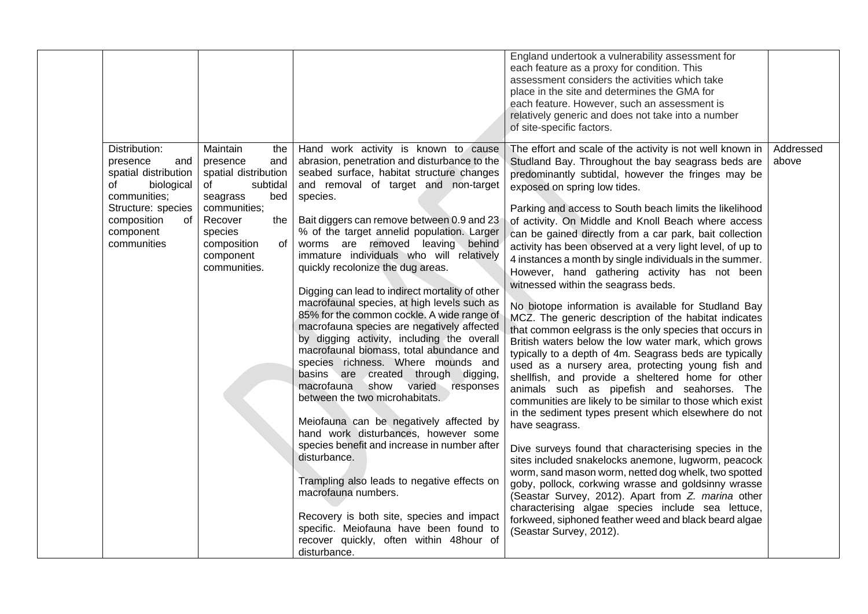|                                                                                                                                                                     |                                                                                                                                                                                                |                                                                                                                                                                                                                                                                                                                                                                                                                                                                                                                                                                                                                                                                                                                                                                                                                                                                                                                                                                                                                                                                                                                                                                                                                                 | England undertook a vulnerability assessment for<br>each feature as a proxy for condition. This<br>assessment considers the activities which take<br>place in the site and determines the GMA for<br>each feature. However, such an assessment is<br>relatively generic and does not take into a number<br>of site-specific factors.                                                                                                                                                                                                                                                                                                                                                                                                                                                                                                                                                                                                                                                                                                                                                                                                                                                                                                                                                                                                                                                                                                                                                                                                                                                                                              |                    |
|---------------------------------------------------------------------------------------------------------------------------------------------------------------------|------------------------------------------------------------------------------------------------------------------------------------------------------------------------------------------------|---------------------------------------------------------------------------------------------------------------------------------------------------------------------------------------------------------------------------------------------------------------------------------------------------------------------------------------------------------------------------------------------------------------------------------------------------------------------------------------------------------------------------------------------------------------------------------------------------------------------------------------------------------------------------------------------------------------------------------------------------------------------------------------------------------------------------------------------------------------------------------------------------------------------------------------------------------------------------------------------------------------------------------------------------------------------------------------------------------------------------------------------------------------------------------------------------------------------------------|-----------------------------------------------------------------------------------------------------------------------------------------------------------------------------------------------------------------------------------------------------------------------------------------------------------------------------------------------------------------------------------------------------------------------------------------------------------------------------------------------------------------------------------------------------------------------------------------------------------------------------------------------------------------------------------------------------------------------------------------------------------------------------------------------------------------------------------------------------------------------------------------------------------------------------------------------------------------------------------------------------------------------------------------------------------------------------------------------------------------------------------------------------------------------------------------------------------------------------------------------------------------------------------------------------------------------------------------------------------------------------------------------------------------------------------------------------------------------------------------------------------------------------------------------------------------------------------------------------------------------------------|--------------------|
| Distribution:<br>presence<br>and<br>spatial distribution<br>biological<br>of<br>communities;<br>Structure: species<br>composition<br>of<br>component<br>communities | Maintain<br>the<br>and<br>presence<br>spatial distribution<br>subtidal<br>of<br>bed<br>seagrass<br>communities;<br>Recover<br>the<br>species<br>composition<br>of<br>component<br>communities. | Hand work activity is known to cause<br>abrasion, penetration and disturbance to the<br>seabed surface, habitat structure changes<br>and removal of target and non-target<br>species.<br>Bait diggers can remove between 0.9 and 23<br>% of the target annelid population. Larger<br>worms are removed leaving behind<br>immature individuals who will relatively<br>quickly recolonize the dug areas.<br>Digging can lead to indirect mortality of other<br>macrofaunal species, at high levels such as<br>85% for the common cockle. A wide range of<br>macrofauna species are negatively affected<br>by digging activity, including the overall<br>macrofaunal biomass, total abundance and<br>species richness. Where mounds and<br>basins are created through digging,<br>show varied responses<br>macrofauna<br>between the two microhabitats.<br>Meiofauna can be negatively affected by<br>hand work disturbances, however some<br>species benefit and increase in number after<br>disturbance.<br>Trampling also leads to negative effects on<br>macrofauna numbers.<br>Recovery is both site, species and impact<br>specific. Meiofauna have been found to<br>recover quickly, often within 48hour of<br>disturbance. | The effort and scale of the activity is not well known in<br>Studland Bay. Throughout the bay seagrass beds are<br>predominantly subtidal, however the fringes may be<br>exposed on spring low tides.<br>Parking and access to South beach limits the likelihood<br>of activity. On Middle and Knoll Beach where access<br>can be gained directly from a car park, bait collection<br>activity has been observed at a very light level, of up to<br>4 instances a month by single individuals in the summer.<br>However, hand gathering activity has not been<br>witnessed within the seagrass beds.<br>No biotope information is available for Studland Bay<br>MCZ. The generic description of the habitat indicates<br>that common eelgrass is the only species that occurs in<br>British waters below the low water mark, which grows<br>typically to a depth of 4m. Seagrass beds are typically<br>used as a nursery area, protecting young fish and<br>shellfish, and provide a sheltered home for other<br>animals such as pipefish and seahorses. The<br>communities are likely to be similar to those which exist<br>in the sediment types present which elsewhere do not<br>have seagrass.<br>Dive surveys found that characterising species in the<br>sites included snakelocks anemone, lugworm, peacock<br>worm, sand mason worm, netted dog whelk, two spotted<br>goby, pollock, corkwing wrasse and goldsinny wrasse<br>(Seastar Survey, 2012). Apart from Z. marina other<br>characterising algae species include sea lettuce,<br>forkweed, siphoned feather weed and black beard algae<br>(Seastar Survey, 2012). | Addressed<br>above |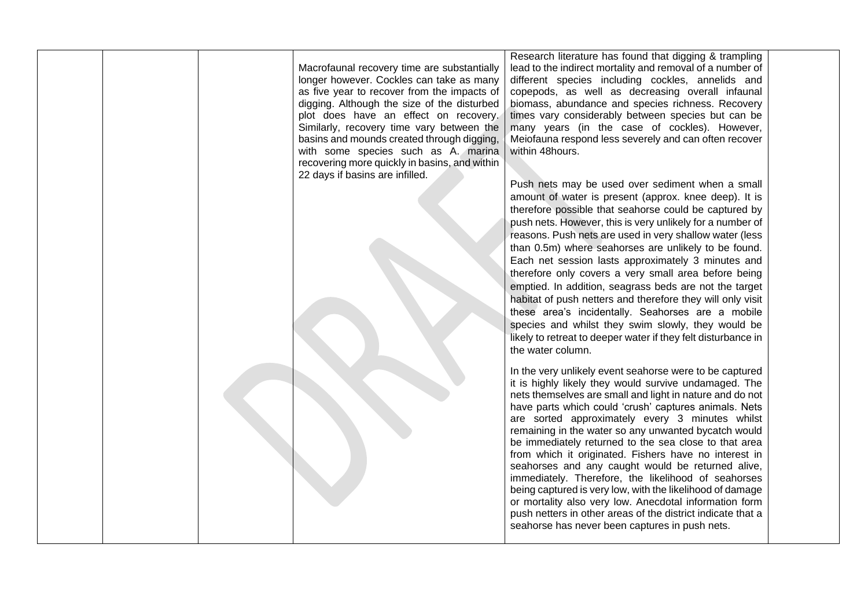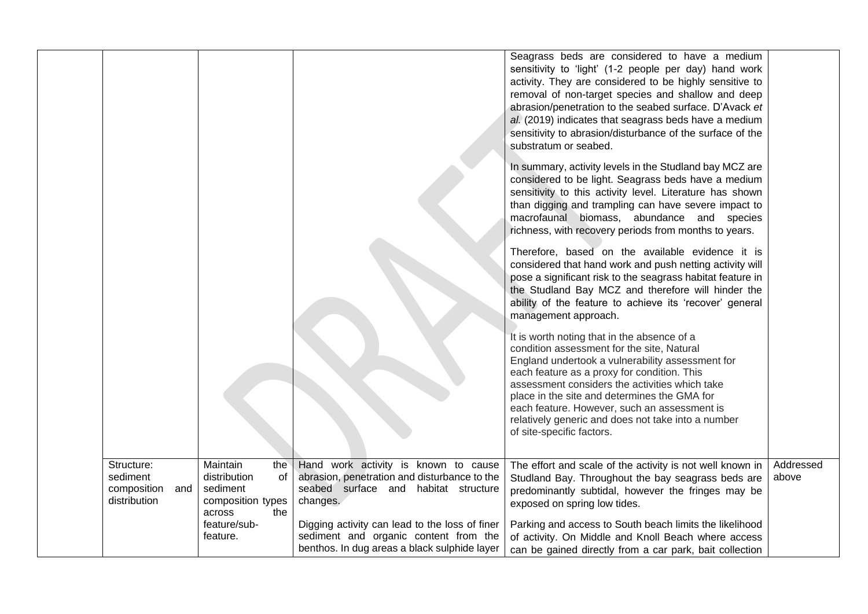|                                                              |                                                                                         |                                                                                                                                          | Seagrass beds are considered to have a medium<br>sensitivity to 'light' (1-2 people per day) hand work<br>activity. They are considered to be highly sensitive to<br>removal of non-target species and shallow and deep<br>abrasion/penetration to the seabed surface. D'Avack et                                                                                                                                                 |                    |
|--------------------------------------------------------------|-----------------------------------------------------------------------------------------|------------------------------------------------------------------------------------------------------------------------------------------|-----------------------------------------------------------------------------------------------------------------------------------------------------------------------------------------------------------------------------------------------------------------------------------------------------------------------------------------------------------------------------------------------------------------------------------|--------------------|
|                                                              |                                                                                         |                                                                                                                                          | al. (2019) indicates that seagrass beds have a medium<br>sensitivity to abrasion/disturbance of the surface of the<br>substratum or seabed.                                                                                                                                                                                                                                                                                       |                    |
|                                                              |                                                                                         |                                                                                                                                          | In summary, activity levels in the Studland bay MCZ are<br>considered to be light. Seagrass beds have a medium<br>sensitivity to this activity level. Literature has shown<br>than digging and trampling can have severe impact to<br>macrofaunal biomass, abundance and species<br>richness, with recovery periods from months to years.                                                                                         |                    |
|                                                              |                                                                                         |                                                                                                                                          | Therefore, based on the available evidence it is<br>considered that hand work and push netting activity will<br>pose a significant risk to the seagrass habitat feature in<br>the Studland Bay MCZ and therefore will hinder the<br>ability of the feature to achieve its 'recover' general<br>management approach.                                                                                                               |                    |
|                                                              |                                                                                         |                                                                                                                                          | It is worth noting that in the absence of a<br>condition assessment for the site, Natural<br>England undertook a vulnerability assessment for<br>each feature as a proxy for condition. This<br>assessment considers the activities which take<br>place in the site and determines the GMA for<br>each feature. However, such an assessment is<br>relatively generic and does not take into a number<br>of site-specific factors. |                    |
| Structure:<br>sediment<br>composition<br>and<br>distribution | Maintain<br>the<br>distribution<br>0f<br>sediment<br>composition types<br>the<br>across | Hand work activity is known to cause<br>abrasion, penetration and disturbance to the<br>seabed surface and habitat structure<br>changes. | The effort and scale of the activity is not well known in<br>Studland Bay. Throughout the bay seagrass beds are<br>predominantly subtidal, however the fringes may be<br>exposed on spring low tides.                                                                                                                                                                                                                             | Addressed<br>above |
|                                                              | feature/sub-<br>feature.                                                                | Digging activity can lead to the loss of finer<br>sediment and organic content from the<br>benthos. In dug areas a black sulphide layer  | Parking and access to South beach limits the likelihood<br>of activity. On Middle and Knoll Beach where access<br>can be gained directly from a car park, bait collection                                                                                                                                                                                                                                                         |                    |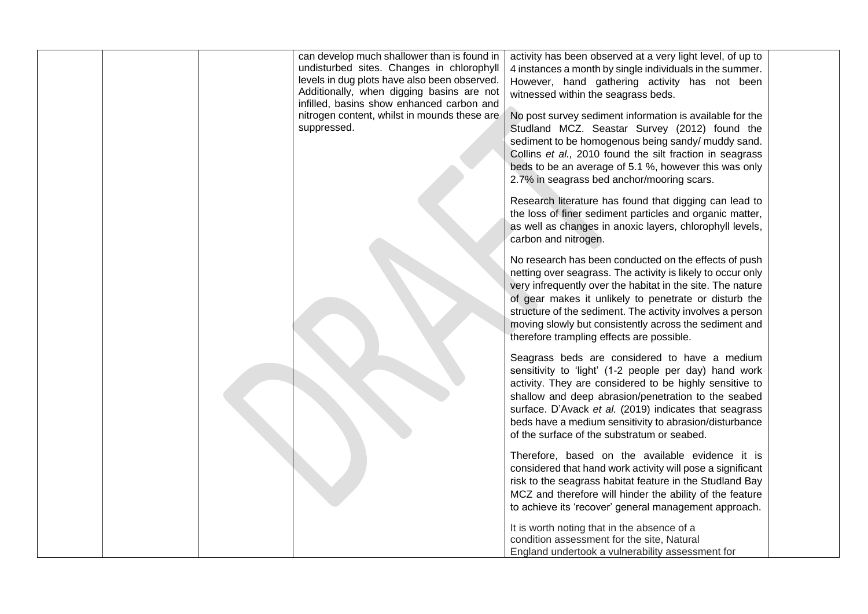|  | can develop much shallower than is found in<br>undisturbed sites. Changes in chlorophyll<br>levels in dug plots have also been observed.<br>Additionally, when digging basins are not<br>infilled, basins show enhanced carbon and<br>nitrogen content, whilst in mounds these are<br>suppressed. | activity has been observed at a very light level, of up to<br>4 instances a month by single individuals in the summer.<br>However, hand gathering activity has not been<br>witnessed within the seagrass beds.<br>No post survey sediment information is available for the<br>Studland MCZ. Seastar Survey (2012) found the<br>sediment to be homogenous being sandy/ muddy sand.<br>Collins et al., 2010 found the silt fraction in seagrass<br>beds to be an average of 5.1 %, however this was only<br>2.7% in seagrass bed anchor/mooring scars. |
|--|---------------------------------------------------------------------------------------------------------------------------------------------------------------------------------------------------------------------------------------------------------------------------------------------------|------------------------------------------------------------------------------------------------------------------------------------------------------------------------------------------------------------------------------------------------------------------------------------------------------------------------------------------------------------------------------------------------------------------------------------------------------------------------------------------------------------------------------------------------------|
|  |                                                                                                                                                                                                                                                                                                   | Research literature has found that digging can lead to<br>the loss of finer sediment particles and organic matter,<br>as well as changes in anoxic layers, chlorophyll levels,<br>carbon and nitrogen.                                                                                                                                                                                                                                                                                                                                               |
|  |                                                                                                                                                                                                                                                                                                   | No research has been conducted on the effects of push<br>netting over seagrass. The activity is likely to occur only<br>very infrequently over the habitat in the site. The nature<br>of gear makes it unlikely to penetrate or disturb the<br>structure of the sediment. The activity involves a person<br>moving slowly but consistently across the sediment and<br>therefore trampling effects are possible.                                                                                                                                      |
|  |                                                                                                                                                                                                                                                                                                   | Seagrass beds are considered to have a medium<br>sensitivity to 'light' (1-2 people per day) hand work<br>activity. They are considered to be highly sensitive to<br>shallow and deep abrasion/penetration to the seabed<br>surface. D'Avack et al. (2019) indicates that seagrass<br>beds have a medium sensitivity to abrasion/disturbance<br>of the surface of the substratum or seabed.                                                                                                                                                          |
|  |                                                                                                                                                                                                                                                                                                   | Therefore, based on the available evidence it is<br>considered that hand work activity will pose a significant<br>risk to the seagrass habitat feature in the Studland Bay<br>MCZ and therefore will hinder the ability of the feature<br>to achieve its 'recover' general management approach.                                                                                                                                                                                                                                                      |
|  |                                                                                                                                                                                                                                                                                                   | It is worth noting that in the absence of a<br>condition assessment for the site, Natural<br>England undertook a vulnerability assessment for                                                                                                                                                                                                                                                                                                                                                                                                        |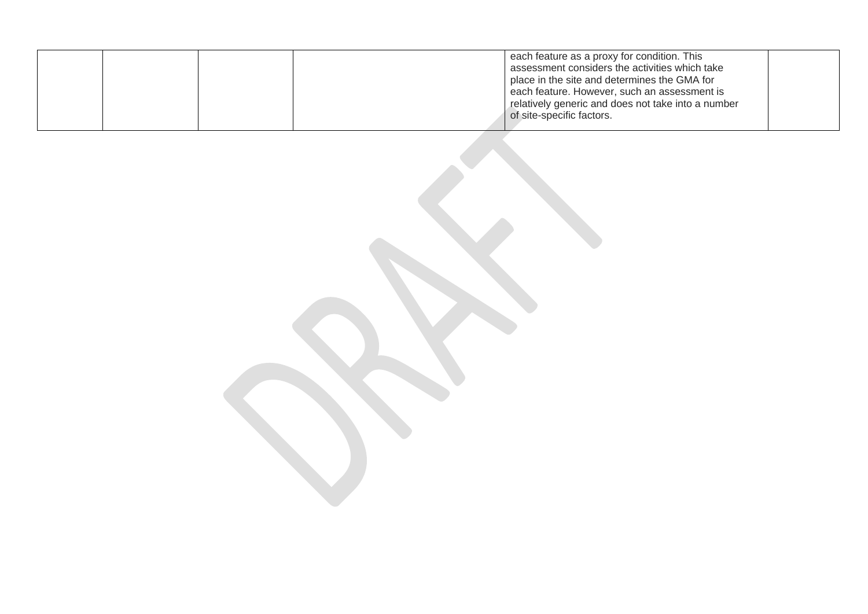| each feature as a proxy for condition. This        |  |
|----------------------------------------------------|--|
| assessment considers the activities which take     |  |
| place in the site and determines the GMA for       |  |
| each feature. However, such an assessment is       |  |
| relatively generic and does not take into a number |  |
| of site-specific factors.                          |  |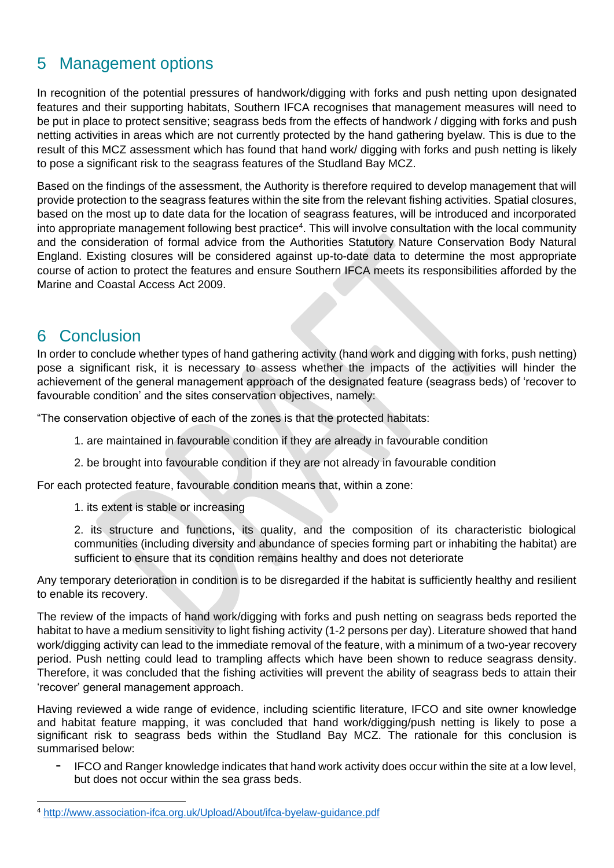# <span id="page-25-0"></span>5 Management options

In recognition of the potential pressures of handwork/digging with forks and push netting upon designated features and their supporting habitats, Southern IFCA recognises that management measures will need to be put in place to protect sensitive; seagrass beds from the effects of handwork / digging with forks and push netting activities in areas which are not currently protected by the hand gathering byelaw. This is due to the result of this MCZ assessment which has found that hand work/ digging with forks and push netting is likely to pose a significant risk to the seagrass features of the Studland Bay MCZ.

Based on the findings of the assessment, the Authority is therefore required to develop management that will provide protection to the seagrass features within the site from the relevant fishing activities. Spatial closures, based on the most up to date data for the location of seagrass features, will be introduced and incorporated into appropriate management following best practice<sup>4</sup>. This will involve consultation with the local community and the consideration of formal advice from the Authorities Statutory Nature Conservation Body Natural England. Existing closures will be considered against up-to-date data to determine the most appropriate course of action to protect the features and ensure Southern IFCA meets its responsibilities afforded by the Marine and Coastal Access Act 2009.

## <span id="page-25-1"></span>6 Conclusion

In order to conclude whether types of hand gathering activity (hand work and digging with forks, push netting) pose a significant risk, it is necessary to assess whether the impacts of the activities will hinder the achievement of the general management approach of the designated feature (seagrass beds) of 'recover to favourable condition' and the sites conservation objectives, namely:

"The conservation objective of each of the zones is that the protected habitats:

- 1. are maintained in favourable condition if they are already in favourable condition
- 2. be brought into favourable condition if they are not already in favourable condition

For each protected feature, favourable condition means that, within a zone:

1. its extent is stable or increasing

2. its structure and functions, its quality, and the composition of its characteristic biological communities (including diversity and abundance of species forming part or inhabiting the habitat) are sufficient to ensure that its condition remains healthy and does not deteriorate

Any temporary deterioration in condition is to be disregarded if the habitat is sufficiently healthy and resilient to enable its recovery.

The review of the impacts of hand work/digging with forks and push netting on seagrass beds reported the habitat to have a medium sensitivity to light fishing activity (1-2 persons per day). Literature showed that hand work/digging activity can lead to the immediate removal of the feature, with a minimum of a two-year recovery period. Push netting could lead to trampling affects which have been shown to reduce seagrass density. Therefore, it was concluded that the fishing activities will prevent the ability of seagrass beds to attain their 'recover' general management approach.

Having reviewed a wide range of evidence, including scientific literature, IFCO and site owner knowledge and habitat feature mapping, it was concluded that hand work/digging/push netting is likely to pose a significant risk to seagrass beds within the Studland Bay MCZ. The rationale for this conclusion is summarised below:

- IFCO and Ranger knowledge indicates that hand work activity does occur within the site at a low level, but does not occur within the sea grass beds.

<sup>4</sup> <http://www.association-ifca.org.uk/Upload/About/ifca-byelaw-guidance.pdf>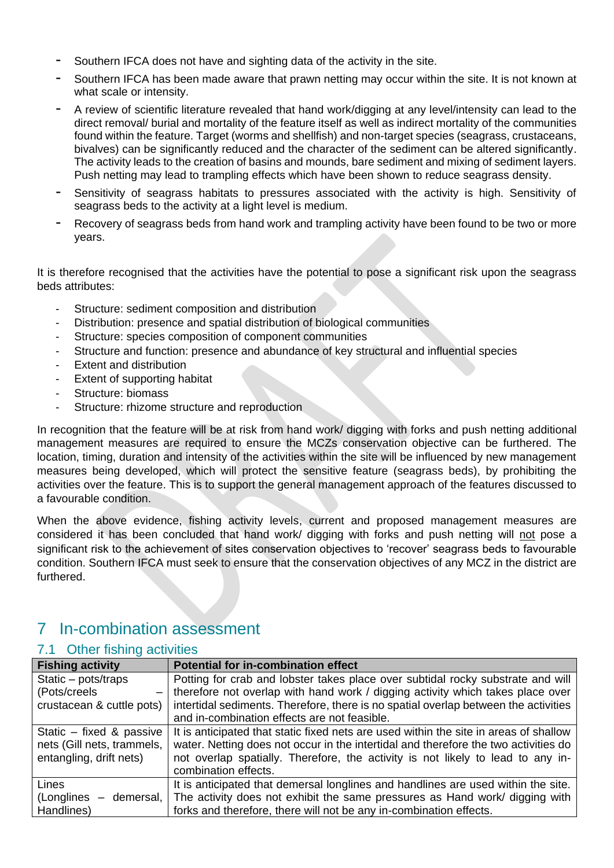- Southern IFCA does not have and sighting data of the activity in the site.
- Southern IFCA has been made aware that prawn netting may occur within the site. It is not known at what scale or intensity.
- A review of scientific literature revealed that hand work/digging at any level/intensity can lead to the direct removal/ burial and mortality of the feature itself as well as indirect mortality of the communities found within the feature. Target (worms and shellfish) and non-target species (seagrass, crustaceans, bivalves) can be significantly reduced and the character of the sediment can be altered significantly. The activity leads to the creation of basins and mounds, bare sediment and mixing of sediment layers. Push netting may lead to trampling effects which have been shown to reduce seagrass density.
- Sensitivity of seagrass habitats to pressures associated with the activity is high. Sensitivity of seagrass beds to the activity at a light level is medium.
- Recovery of seagrass beds from hand work and trampling activity have been found to be two or more years.

It is therefore recognised that the activities have the potential to pose a significant risk upon the seagrass beds attributes:

- Structure: sediment composition and distribution
- Distribution: presence and spatial distribution of biological communities
- Structure: species composition of component communities
- Structure and function: presence and abundance of key structural and influential species
- Extent and distribution
- Extent of supporting habitat
- Structure: biomass
- Structure: rhizome structure and reproduction

In recognition that the feature will be at risk from hand work/ digging with forks and push netting additional management measures are required to ensure the MCZs conservation objective can be furthered. The location, timing, duration and intensity of the activities within the site will be influenced by new management measures being developed, which will protect the sensitive feature (seagrass beds), by prohibiting the activities over the feature. This is to support the general management approach of the features discussed to a favourable condition.

When the above evidence, fishing activity levels, current and proposed management measures are considered it has been concluded that hand work/ digging with forks and push netting will not pose a significant risk to the achievement of sites conservation objectives to 'recover' seagrass beds to favourable condition. Southern IFCA must seek to ensure that the conservation objectives of any MCZ in the district are furthered.

# <span id="page-26-0"></span>7 In-combination assessment

#### <span id="page-26-1"></span>7.1 Other fishing activities

| <b>Fishing activity</b>                  | <b>Potential for in-combination effect</b>                                            |
|------------------------------------------|---------------------------------------------------------------------------------------|
| Static - pots/traps                      | Potting for crab and lobster takes place over subtidal rocky substrate and will       |
| (Pots/creels<br>$\overline{\phantom{m}}$ | therefore not overlap with hand work / digging activity which takes place over        |
| crustacean & cuttle pots)                | intertidal sediments. Therefore, there is no spatial overlap between the activities   |
|                                          | and in-combination effects are not feasible.                                          |
| Static - fixed & passive                 | It is anticipated that static fixed nets are used within the site in areas of shallow |
| nets (Gill nets, trammels,               | water. Netting does not occur in the intertidal and therefore the two activities do   |
| entangling, drift nets)                  | not overlap spatially. Therefore, the activity is not likely to lead to any in-       |
|                                          | combination effects.                                                                  |
| Lines                                    | It is anticipated that demersal longlines and handlines are used within the site.     |
| $(Longlines - demersal,  $               | The activity does not exhibit the same pressures as Hand work/ digging with           |
| Handlines)                               | forks and therefore, there will not be any in-combination effects.                    |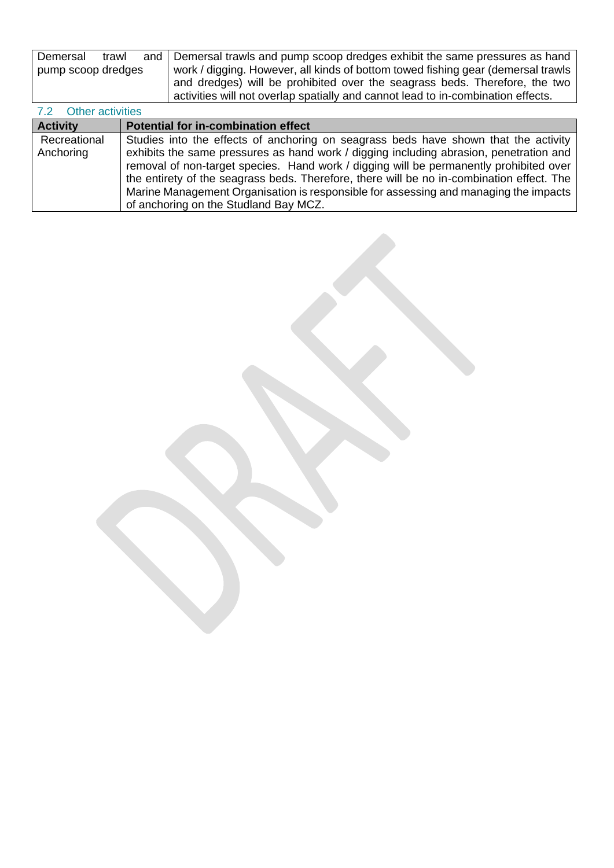| Demersal<br>trawl  | and Demersal trawls and pump scoop dredges exhibit the same pressures as hand    |
|--------------------|----------------------------------------------------------------------------------|
| pump scoop dredges | work / digging. However, all kinds of bottom towed fishing gear (demersal trawls |
|                    | and dredges) will be prohibited over the seagrass beds. Therefore, the two       |
|                    | activities will not overlap spatially and cannot lead to in-combination effects. |

## <span id="page-27-0"></span>7.2 Other activities

| <b>Activity</b> | <b>Potential for in-combination effect</b>                                                |
|-----------------|-------------------------------------------------------------------------------------------|
| Recreational    | Studies into the effects of anchoring on seagrass beds have shown that the activity       |
| Anchoring       | exhibits the same pressures as hand work / digging including abrasion, penetration and    |
|                 | removal of non-target species. Hand work / digging will be permanently prohibited over    |
|                 | the entirety of the seagrass beds. Therefore, there will be no in-combination effect. The |
|                 | Marine Management Organisation is responsible for assessing and managing the impacts      |
|                 | of anchoring on the Studland Bay MCZ.                                                     |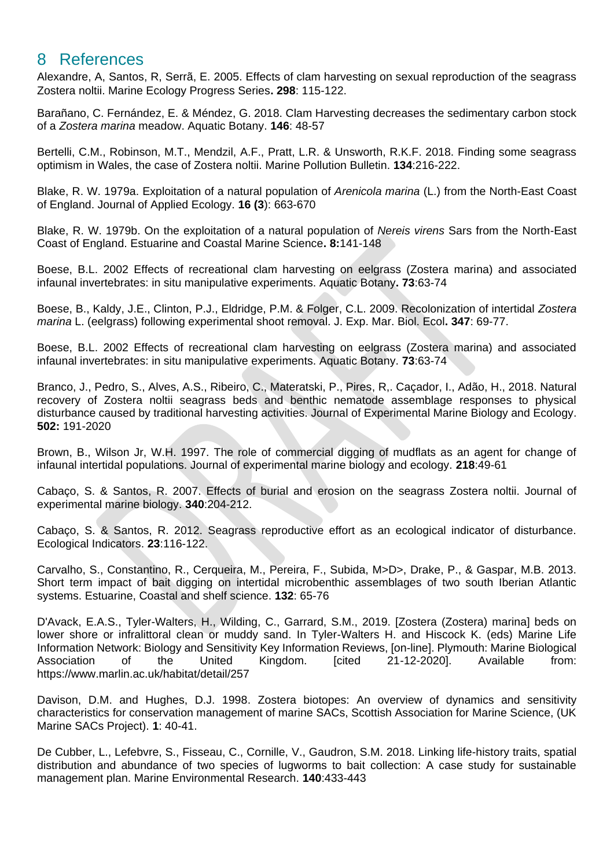## <span id="page-28-0"></span>8 References

Alexandre, A, Santos, R, Serrã, E. 2005. Effects of clam harvesting on sexual reproduction of the seagrass Zostera noltii. Marine Ecology Progress Series**. 298**: 115-122.

Barañano, C. Fernández, E. & Méndez, G. 2018. Clam Harvesting decreases the sedimentary carbon stock of a *Zostera marina* meadow. Aquatic Botany. **146**: 48-57

Bertelli, C.M., Robinson, M.T., Mendzil, A.F., Pratt, L.R. & Unsworth, R.K.F. 2018. Finding some seagrass optimism in Wales, the case of Zostera noltii. Marine Pollution Bulletin. **134**:216-222.

Blake, R. W. 1979a. Exploitation of a natural population of *Arenicola marina* (L.) from the North-East Coast of England. Journal of Applied Ecology. **16 (3**): 663-670

Blake, R. W. 1979b. On the exploitation of a natural population of *Nereis virens* Sars from the North-East Coast of England. Estuarine and Coastal Marine Science**. 8:**141-148

Boese, B.L. 2002 Effects of recreational clam harvesting on eelgrass (Zostera marina) and associated infaunal invertebrates: in situ manipulative experiments. Aquatic Botany**. 73**:63-74

Boese, B., Kaldy, J.E., Clinton, P.J., Eldridge, P.M. & Folger, C.L. 2009. Recolonization of intertidal *Zostera marina* L. (eelgrass) following experimental shoot removal. J. Exp. Mar. Biol. Ecol**. 347**: 69-77.

Boese, B.L. 2002 Effects of recreational clam harvesting on eelgrass (Zostera marina) and associated infaunal invertebrates: in situ manipulative experiments. Aquatic Botany. **73**:63-74

Branco, J., Pedro, S., Alves, A.S., Ribeiro, C., Materatski, P., Pires, R,. Caçador, I., Adão, H., 2018. Natural recovery of Zostera noltii seagrass beds and benthic nematode assemblage responses to physical disturbance caused by traditional harvesting activities. Journal of Experimental Marine Biology and Ecology. **502:** 191-2020

Brown, B., Wilson Jr, W.H. 1997. The role of commercial digging of mudflats as an agent for change of infaunal intertidal populations. Journal of experimental marine biology and ecology. **218**:49-61

Cabaço, S. & Santos, R. 2007. Effects of burial and erosion on the seagrass Zostera noltii. Journal of experimental marine biology. **340**:204-212.

Cabaço, S. & Santos, R. 2012. Seagrass reproductive effort as an ecological indicator of disturbance. Ecological Indicators. **23**:116-122.

Carvalho, S., Constantino, R., Cerqueira, M., Pereira, F., Subida, M>D>, Drake, P., & Gaspar, M.B. 2013. Short term impact of bait digging on intertidal microbenthic assemblages of two south Iberian Atlantic systems. Estuarine, Coastal and shelf science. **132**: 65-76

D'Avack, E.A.S., Tyler-Walters, H., Wilding, C., Garrard, S.M., 2019. [Zostera (Zostera) marina] beds on lower shore or infralittoral clean or muddy sand. In Tyler-Walters H. and Hiscock K. (eds) Marine Life Information Network: Biology and Sensitivity Key Information Reviews, [on-line]. Plymouth: Marine Biological Association of the United Kingdom. [cited 21-12-2020]. Available from: https://www.marlin.ac.uk/habitat/detail/257

Davison, D.M. and Hughes, D.J. 1998. Zostera biotopes: An overview of dynamics and sensitivity characteristics for conservation management of marine SACs, Scottish Association for Marine Science, (UK Marine SACs Project). **1**: 40-41.

De Cubber, L., Lefebvre, S., Fisseau, C., Cornille, V., Gaudron, S.M. 2018. Linking life-history traits, spatial distribution and abundance of two species of lugworms to bait collection: A case study for sustainable management plan. Marine Environmental Research. **140**:433-443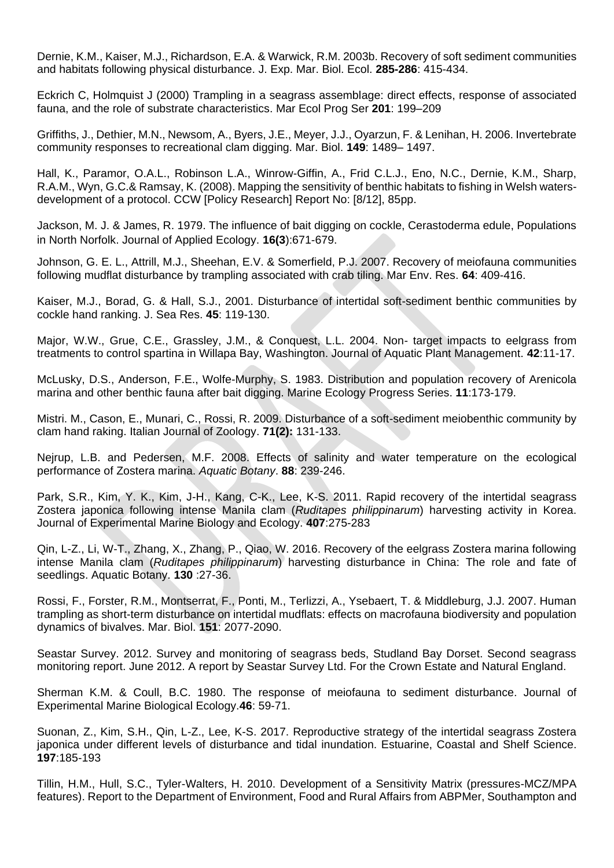Dernie, K.M., Kaiser, M.J., Richardson, E.A. & Warwick, R.M. 2003b. Recovery of soft sediment communities and habitats following physical disturbance. J. Exp. Mar. Biol. Ecol. **285-286**: 415-434.

Eckrich C, Holmquist J (2000) Trampling in a seagrass assemblage: direct effects, response of associated fauna, and the role of substrate characteristics. Mar Ecol Prog Ser **201**: 199–209

Griffiths, J., Dethier, M.N., Newsom, A., Byers, J.E., Meyer, J.J., Oyarzun, F. & Lenihan, H. 2006. Invertebrate community responses to recreational clam digging. Mar. Biol. **149**: 1489– 1497.

Hall, K., Paramor, O.A.L., Robinson L.A., Winrow-Giffin, A., Frid C.L.J., Eno, N.C., Dernie, K.M., Sharp, R.A.M., Wyn, G.C.& Ramsay, K. (2008). Mapping the sensitivity of benthic habitats to fishing in Welsh watersdevelopment of a protocol. CCW [Policy Research] Report No: [8/12], 85pp.

Jackson, M. J. & James, R. 1979. The influence of bait digging on cockle, Cerastoderma edule, Populations in North Norfolk. Journal of Applied Ecology. **16(3**):671-679.

Johnson, G. E. L., Attrill, M.J., Sheehan, E.V. & Somerfield, P.J. 2007. Recovery of meiofauna communities following mudflat disturbance by trampling associated with crab tiling. Mar Env. Res. **64**: 409-416.

Kaiser, M.J., Borad, G. & Hall, S.J., 2001. Disturbance of intertidal soft-sediment benthic communities by cockle hand ranking. J. Sea Res. **45**: 119-130.

Major, W.W., Grue, C.E., Grassley, J.M., & Conquest, L.L. 2004. Non- target impacts to eelgrass from treatments to control spartina in Willapa Bay, Washington. Journal of Aquatic Plant Management. **42**:11-17.

McLusky, D.S., Anderson, F.E., Wolfe-Murphy, S. 1983. Distribution and population recovery of Arenicola marina and other benthic fauna after bait digging. Marine Ecology Progress Series. **11**:173-179.

Mistri. M., Cason, E., Munari, C., Rossi, R. 2009. Disturbance of a soft-sediment meiobenthic community by clam hand raking. Italian Journal of Zoology. **71(2):** 131-133.

Nejrup, L.B. and Pedersen, M.F. 2008. Effects of salinity and water temperature on the ecological performance of Zostera marina. *Aquatic Botany*. **88**: 239-246.

Park, S.R., Kim, Y. K., Kim, J-H., Kang, C-K., Lee, K-S. 2011. Rapid recovery of the intertidal seagrass Zostera japonica following intense Manila clam (*Ruditapes philippinarum*) harvesting activity in Korea. Journal of Experimental Marine Biology and Ecology. **407**:275-283

Qin, L-Z., Li, W-T., Zhang, X., Zhang, P., Qiao, W. 2016. Recovery of the eelgrass Zostera marina following intense Manila clam (*Ruditapes philippinarum*) harvesting disturbance in China: The role and fate of seedlings. Aquatic Botany. **130** :27-36.

Rossi, F., Forster, R.M., Montserrat, F., Ponti, M., Terlizzi, A., Ysebaert, T. & Middleburg, J.J. 2007. Human trampling as short-term disturbance on intertidal mudflats: effects on macrofauna biodiversity and population dynamics of bivalves. Mar. Biol. **151**: 2077-2090.

Seastar Survey. 2012. Survey and monitoring of seagrass beds, Studland Bay Dorset. Second seagrass monitoring report. June 2012. A report by Seastar Survey Ltd. For the Crown Estate and Natural England.

Sherman K.M. & Coull, B.C. 1980. The response of meiofauna to sediment disturbance. Journal of Experimental Marine Biological Ecology.**46**: 59-71.

Suonan, Z., Kim, S.H., Qin, L-Z., Lee, K-S. 2017. Reproductive strategy of the intertidal seagrass Zostera japonica under different levels of disturbance and tidal inundation. Estuarine, Coastal and Shelf Science. **197**:185-193

Tillin, H.M., Hull, S.C., Tyler-Walters, H. 2010. Development of a Sensitivity Matrix (pressures-MCZ/MPA features). Report to the Department of Environment, Food and Rural Affairs from ABPMer, Southampton and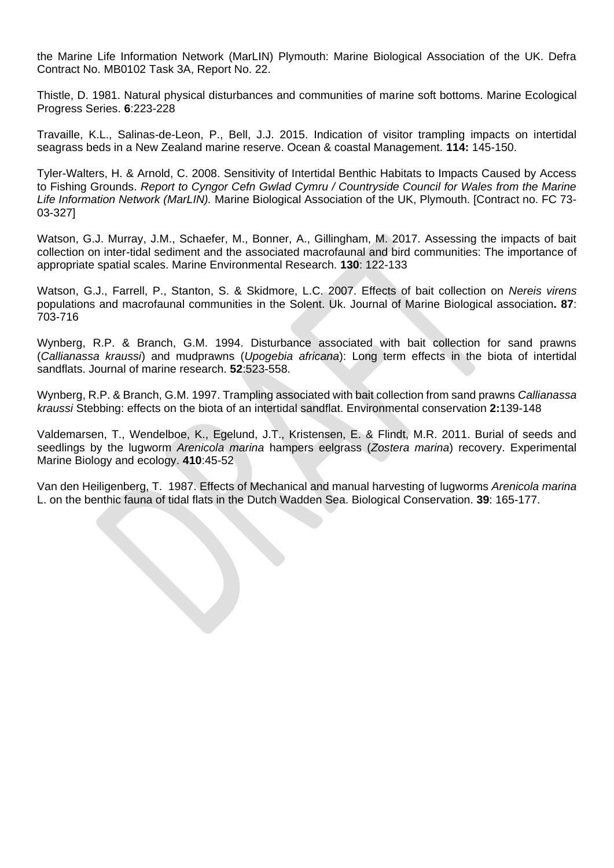the Marine Life Information Network (MarLIN) Plymouth: Marine Biological Association of the UK. Defra Contract No. MB0102 Task 3A, Report No. 22.

Thistle, D. 1981. Natural physical disturbances and communities of marine soft bottoms. Marine Ecological Progress Series. **6**:223-228

Travaille, K.L., Salinas-de-Leon, P., Bell, J.J. 2015. Indication of visitor trampling impacts on intertidal seagrass beds in a New Zealand marine reserve. Ocean & coastal Management. **114:** 145-150.

Tyler-Walters, H. & Arnold, C. 2008. Sensitivity of Intertidal Benthic Habitats to Impacts Caused by Access to Fishing Grounds. *Report to Cyngor Cefn Gwlad Cymru / Countryside Council for Wales from the Marine Life Information Network (MarLIN).* Marine Biological Association of the UK, Plymouth. [Contract no. FC 73- 03-327]

Watson, G.J. Murray, J.M., Schaefer, M., Bonner, A., Gillingham, M. 2017. Assessing the impacts of bait collection on inter-tidal sediment and the associated macrofaunal and bird communities: The importance of appropriate spatial scales. Marine Environmental Research. **130**: 122-133

Watson, G.J., Farrell, P., Stanton, S. & Skidmore, L.C. 2007. Effects of bait collection on *Nereis virens* populations and macrofaunal communities in the Solent. Uk. Journal of Marine Biological association**. 87**: 703-716

Wynberg, R.P. & Branch, G.M. 1994. Disturbance associated with bait collection for sand prawns (*Callianassa kraussi*) and mudprawns (*Upogebia africana*): Long term effects in the biota of intertidal sandflats. Journal of marine research. **52**:523-558.

Wynberg, R.P. & Branch, G.M. 1997. Trampling associated with bait collection from sand prawns *Callianassa kraussi* Stebbing: effects on the biota of an intertidal sandflat. Environmental conservation **2:**139-148

Valdemarsen, T., Wendelboe, K., Egelund, J.T., Kristensen, E. & Flindt, M.R. 2011. Burial of seeds and seedlings by the lugworm *Arenicola marina* hampers eelgrass (*Zostera marina*) recovery. Experimental Marine Biology and ecology. **410**:45-52

Van den Heiligenberg, T. 1987. Effects of Mechanical and manual harvesting of lugworms *Arenicola marina* L. on the benthic fauna of tidal flats in the Dutch Wadden Sea. Biological Conservation. **39**: 165-177.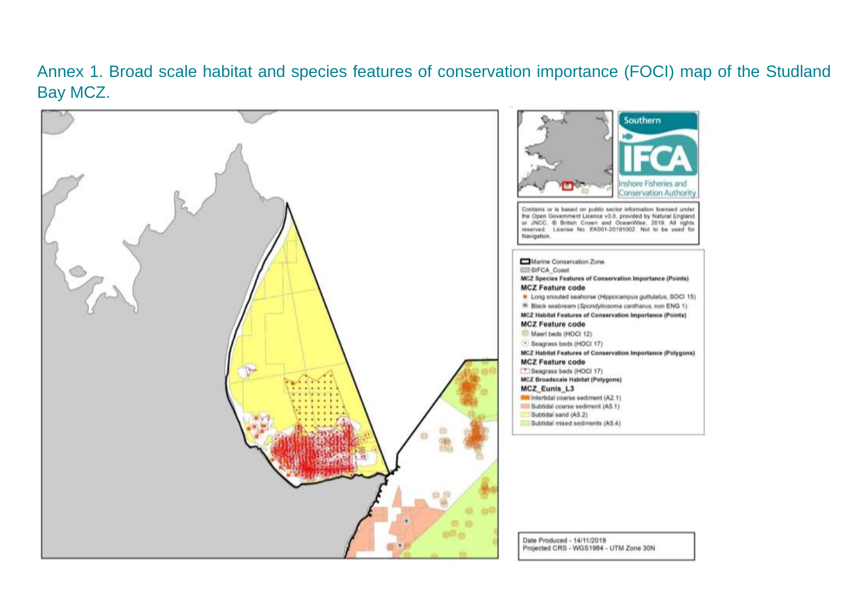# Annex 1. Broad scale habitat and species features of conservation importance (FOCI) map of the Studland Bay MCZ.

<span id="page-31-0"></span>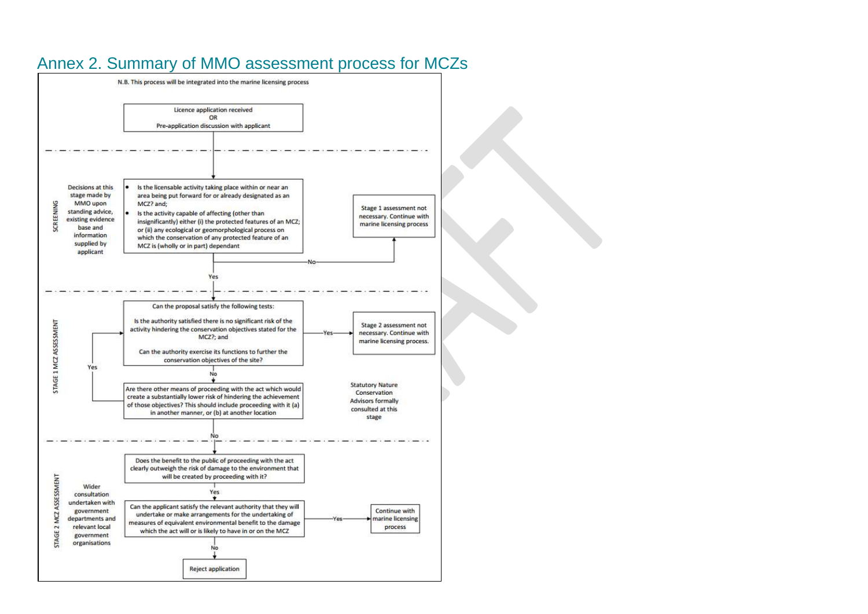<span id="page-32-0"></span>

# Annex 2. Summary of MMO assessment process for MCZs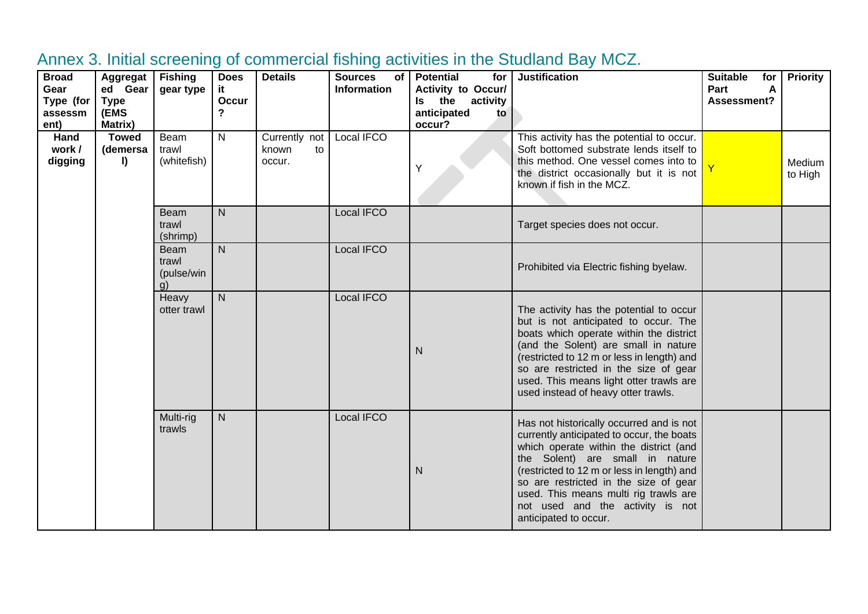<span id="page-33-0"></span>

| <b>Broad</b><br>Gear<br>Type (for<br>assessm<br>ent) | Aggregat<br>ed Gear<br><b>Type</b><br>(EMS<br><b>Matrix)</b> | <b>Fishing</b><br>gear type              | <b>Does</b><br>it.<br>Occur<br>? | <b>Details</b>                         | <b>Sources</b><br>of<br><b>Information</b> | <b>Potential</b><br>for<br>Activity to Occur/<br>Is the activity<br>anticipated<br>to<br>occur? | <b>Justification</b>                                                                                                                                                                                                                                                                                                                                            | <b>Suitable</b><br>for<br>Part<br>Α<br>Assessment? | <b>Priority</b>   |
|------------------------------------------------------|--------------------------------------------------------------|------------------------------------------|----------------------------------|----------------------------------------|--------------------------------------------|-------------------------------------------------------------------------------------------------|-----------------------------------------------------------------------------------------------------------------------------------------------------------------------------------------------------------------------------------------------------------------------------------------------------------------------------------------------------------------|----------------------------------------------------|-------------------|
| Hand<br>work /<br>digging                            | <b>Towed</b><br>(demersa<br>I)                               | Beam<br>trawl<br>(whitefish)             | N                                | Currently not<br>known<br>to<br>occur. | Local IFCO                                 | Y                                                                                               | This activity has the potential to occur.<br>Soft bottomed substrate lends itself to<br>this method. One vessel comes into to<br>the district occasionally but it is not<br>known if fish in the MCZ.                                                                                                                                                           |                                                    | Medium<br>to High |
|                                                      |                                                              | Beam<br>trawl<br>(shrimp)                | $\mathsf{N}$                     |                                        | Local IFCO                                 |                                                                                                 | Target species does not occur.                                                                                                                                                                                                                                                                                                                                  |                                                    |                   |
|                                                      |                                                              | <b>Beam</b><br>trawl<br>(pulse/win<br>g) | $\mathsf{N}$                     |                                        | Local IFCO                                 |                                                                                                 | Prohibited via Electric fishing byelaw.                                                                                                                                                                                                                                                                                                                         |                                                    |                   |
|                                                      |                                                              | Heavy<br>otter trawl                     | ${\sf N}$                        |                                        | Local IFCO                                 | N                                                                                               | The activity has the potential to occur<br>but is not anticipated to occur. The<br>boats which operate within the district<br>(and the Solent) are small in nature<br>(restricted to 12 m or less in length) and<br>so are restricted in the size of gear<br>used. This means light otter trawls are<br>used instead of heavy otter trawls.                     |                                                    |                   |
|                                                      |                                                              | Multi-rig<br>trawls                      | ${\sf N}$                        |                                        | Local IFCO                                 | N                                                                                               | Has not historically occurred and is not<br>currently anticipated to occur, the boats<br>which operate within the district (and<br>the Solent) are small in nature<br>(restricted to 12 m or less in length) and<br>so are restricted in the size of gear<br>used. This means multi rig trawls are<br>not used and the activity is not<br>anticipated to occur. |                                                    |                   |

# Annex 3. Initial screening of commercial fishing activities in the Studland Bay MCZ.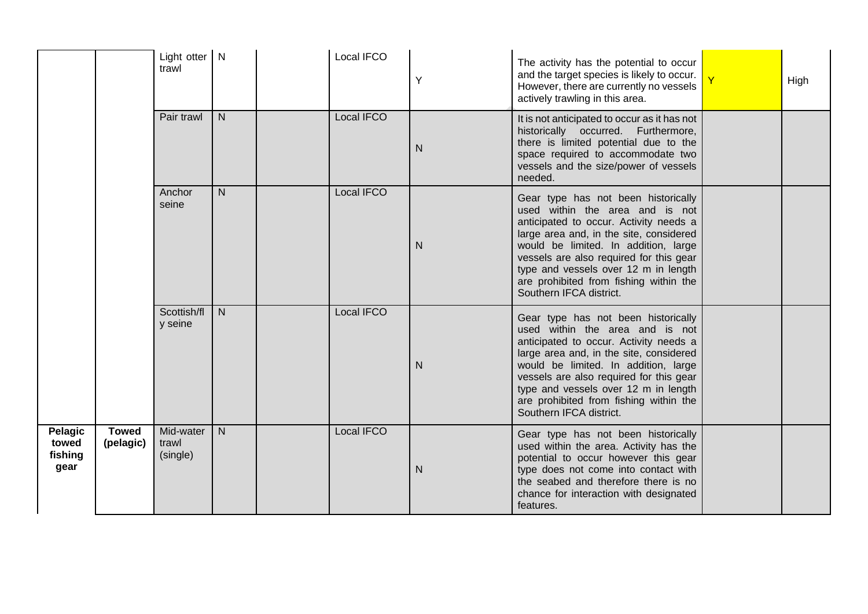|                                     |                           | Light otter N<br>trawl         |              | Local IFCO | Y            | The activity has the potential to occur<br>and the target species is likely to occur.<br>However, there are currently no vessels<br>actively trawling in this area.                                                                                                                                                                                         | High |
|-------------------------------------|---------------------------|--------------------------------|--------------|------------|--------------|-------------------------------------------------------------------------------------------------------------------------------------------------------------------------------------------------------------------------------------------------------------------------------------------------------------------------------------------------------------|------|
|                                     |                           | Pair trawl                     | $\mathsf{N}$ | Local IFCO | N            | It is not anticipated to occur as it has not<br>historically occurred. Furthermore,<br>there is limited potential due to the<br>space required to accommodate two<br>vessels and the size/power of vessels<br>needed.                                                                                                                                       |      |
|                                     |                           | Anchor<br>seine                | $\mathsf{N}$ | Local IFCO | $\mathsf{N}$ | Gear type has not been historically<br>used within the area and is not<br>anticipated to occur. Activity needs a<br>large area and, in the site, considered<br>would be limited. In addition, large<br>vessels are also required for this gear<br>type and vessels over 12 m in length<br>are prohibited from fishing within the<br>Southern IFCA district. |      |
|                                     |                           | Scottish/fl<br>y seine         | N            | Local IFCO | $\mathsf{N}$ | Gear type has not been historically<br>used within the area and is not<br>anticipated to occur. Activity needs a<br>large area and, in the site, considered<br>would be limited. In addition, large<br>vessels are also required for this gear<br>type and vessels over 12 m in length<br>are prohibited from fishing within the<br>Southern IFCA district. |      |
| Pelagic<br>towed<br>fishing<br>gear | <b>Towed</b><br>(pelagic) | Mid-water<br>trawl<br>(single) | N            | Local IFCO | N            | Gear type has not been historically<br>used within the area. Activity has the<br>potential to occur however this gear<br>type does not come into contact with<br>the seabed and therefore there is no<br>chance for interaction with designated<br>features.                                                                                                |      |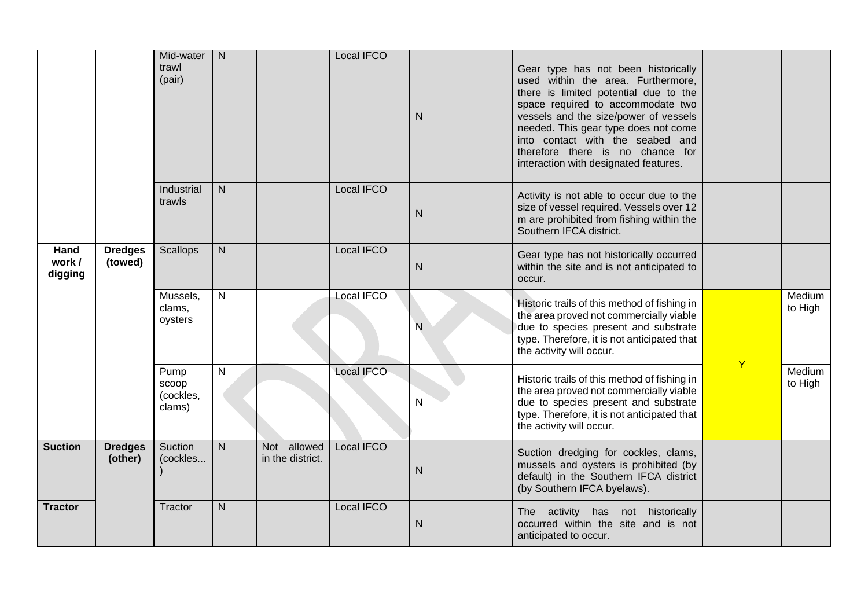|                           |                           | Mid-water<br>trawl<br>(pair)         | $\mathsf{N}$   |                                 | Local IFCO        | N            | Gear type has not been historically<br>used within the area. Furthermore,<br>there is limited potential due to the<br>space required to accommodate two<br>vessels and the size/power of vessels<br>needed. This gear type does not come<br>into contact with the seabed and<br>therefore there is no chance for<br>interaction with designated features. |              |                   |
|---------------------------|---------------------------|--------------------------------------|----------------|---------------------------------|-------------------|--------------|-----------------------------------------------------------------------------------------------------------------------------------------------------------------------------------------------------------------------------------------------------------------------------------------------------------------------------------------------------------|--------------|-------------------|
|                           |                           | Industrial<br>trawls                 | $\mathsf{N}$   |                                 | Local IFCO        | $\mathsf{N}$ | Activity is not able to occur due to the<br>size of vessel required. Vessels over 12<br>m are prohibited from fishing within the<br>Southern IFCA district.                                                                                                                                                                                               |              |                   |
| Hand<br>work /<br>digging | <b>Dredges</b><br>(towed) | <b>Scallops</b>                      | $\mathsf{N}$   |                                 | Local IFCO        | $\mathsf{N}$ | Gear type has not historically occurred<br>within the site and is not anticipated to<br>occur.                                                                                                                                                                                                                                                            |              |                   |
|                           |                           | Mussels,<br>clams,<br>oysters        | $\overline{N}$ |                                 | Local IFCO        | N            | Historic trails of this method of fishing in<br>the area proved not commercially viable<br>due to species present and substrate<br>type. Therefore, it is not anticipated that<br>the activity will occur.                                                                                                                                                | $\mathsf{Y}$ | Medium<br>to High |
|                           |                           | Pump<br>scoop<br>(cockles,<br>clams) | $\mathsf{N}$   |                                 | <b>Local IFCO</b> | N            | Historic trails of this method of fishing in<br>the area proved not commercially viable<br>due to species present and substrate<br>type. Therefore, it is not anticipated that<br>the activity will occur.                                                                                                                                                |              | Medium<br>to High |
| <b>Suction</b>            | <b>Dredges</b><br>(other) | Suction<br>(cockles                  | $\mathsf{N}$   | Not allowed<br>in the district. | Local IFCO        | $\mathsf{N}$ | Suction dredging for cockles, clams,<br>mussels and oysters is prohibited (by<br>default) in the Southern IFCA district<br>(by Southern IFCA byelaws).                                                                                                                                                                                                    |              |                   |
| <b>Tractor</b>            |                           | Tractor                              | N.             |                                 | Local IFCO        | N            | The activity has not historically<br>occurred within the site and is not<br>anticipated to occur.                                                                                                                                                                                                                                                         |              |                   |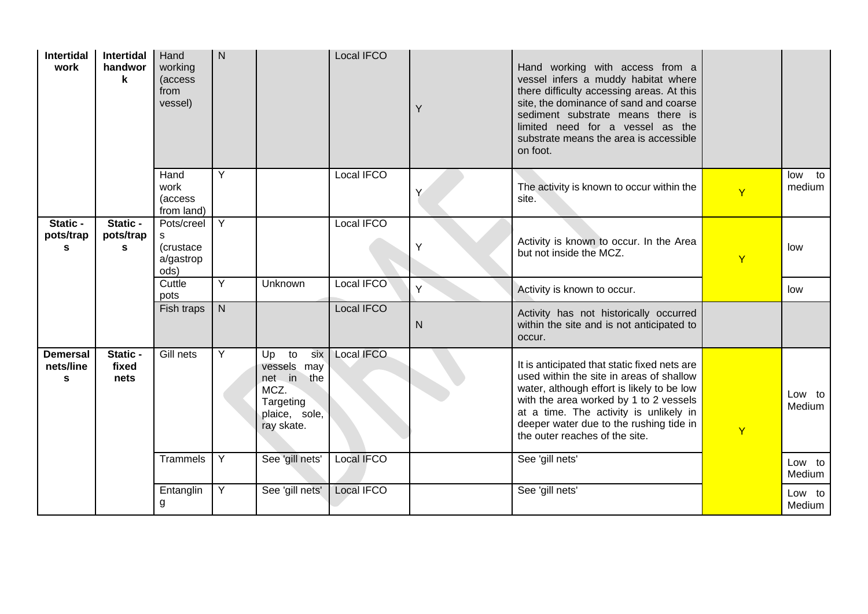| <b>Intertidal</b><br>work                    | Intertidal<br>handwor<br>k | Hand<br>working<br>(access<br>from<br>vessel)     | $\mathsf{N}$   |                                                                                                  | Local IFCO | Y | Hand working with access from a<br>vessel infers a muddy habitat where<br>there difficulty accessing areas. At this<br>site, the dominance of sand and coarse<br>sediment substrate means there is<br>limited need for a vessel as the<br>substrate means the area is accessible<br>on foot.            |                |                  |
|----------------------------------------------|----------------------------|---------------------------------------------------|----------------|--------------------------------------------------------------------------------------------------|------------|---|---------------------------------------------------------------------------------------------------------------------------------------------------------------------------------------------------------------------------------------------------------------------------------------------------------|----------------|------------------|
|                                              |                            | Hand<br>work<br>(access<br>from land)             | Y              |                                                                                                  | Local IFCO | Y | The activity is known to occur within the<br>site.                                                                                                                                                                                                                                                      | $\overline{Y}$ | low to<br>medium |
| Static -<br>pots/trap<br>s                   | Static -<br>pots/trap<br>S | Pots/creel<br>s<br>(crustace<br>a/gastrop<br>ods) | Y              |                                                                                                  | Local IFCO | Y | Activity is known to occur. In the Area<br>but not inside the MCZ.                                                                                                                                                                                                                                      | Ÿ              | low              |
|                                              |                            | Cuttle<br>pots                                    | $\overline{Y}$ | Unknown                                                                                          | Local IFCO | Y | Activity is known to occur.                                                                                                                                                                                                                                                                             |                | low              |
|                                              |                            | Fish traps                                        | $\mathsf{N}$   |                                                                                                  | Local IFCO | N | Activity has not historically occurred<br>within the site and is not anticipated to<br>occur.                                                                                                                                                                                                           |                |                  |
| <b>Demersal</b><br>nets/line<br>$\mathbf{s}$ | Static -<br>fixed<br>nets  | Gill nets                                         | Y              | six<br>Up to<br>vessels may<br>net in<br>the<br>MCZ.<br>Targeting<br>plaice, sole,<br>ray skate. | Local IFCO |   | It is anticipated that static fixed nets are<br>used within the site in areas of shallow<br>water, although effort is likely to be low<br>with the area worked by 1 to 2 vessels<br>at a time. The activity is unlikely in<br>deeper water due to the rushing tide in<br>the outer reaches of the site. | Ÿ              | Low to<br>Medium |
|                                              |                            | Trammels                                          | Y              | See 'gill nets'                                                                                  | Local IFCO |   | See 'gill nets'                                                                                                                                                                                                                                                                                         |                | Low to<br>Medium |
|                                              |                            | Entanglin<br>g                                    | $\overline{Y}$ | See 'gill nets'                                                                                  | Local IFCO |   | See 'gill nets'                                                                                                                                                                                                                                                                                         |                | Low to<br>Medium |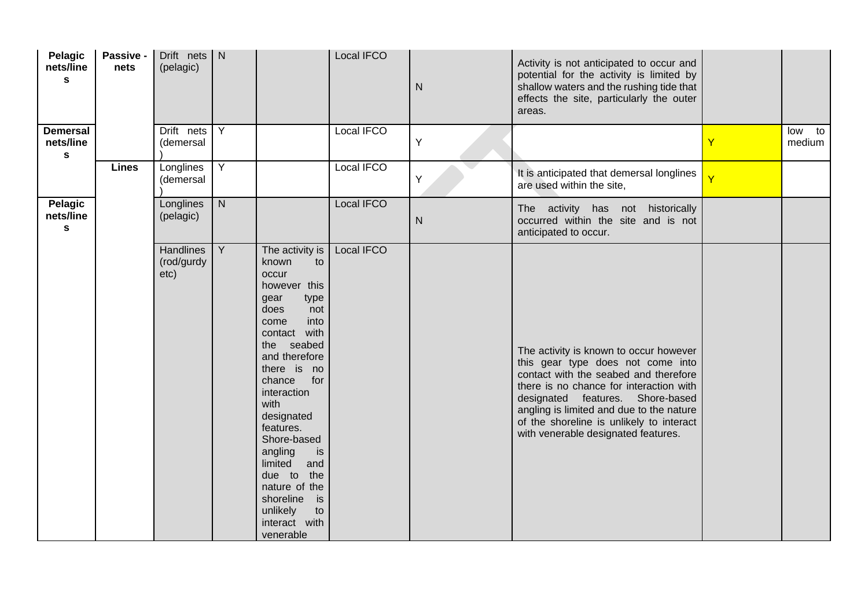| Pelagic<br>nets/line<br>$\mathbf{s}$        | Passive -<br>nets | Drift nets $\vert N \vert$<br>(pelagic) |                |                                                                                                                                                                                                                                                                                                                                                                                                | Local IFCO | ${\sf N}$ | Activity is not anticipated to occur and<br>potential for the activity is limited by<br>shallow waters and the rushing tide that<br>effects the site, particularly the outer<br>areas.                                                                                                                                             |                         |                  |
|---------------------------------------------|-------------------|-----------------------------------------|----------------|------------------------------------------------------------------------------------------------------------------------------------------------------------------------------------------------------------------------------------------------------------------------------------------------------------------------------------------------------------------------------------------------|------------|-----------|------------------------------------------------------------------------------------------------------------------------------------------------------------------------------------------------------------------------------------------------------------------------------------------------------------------------------------|-------------------------|------------------|
| <b>Demersal</b><br>nets/line<br>$\mathbf s$ |                   | Drift nets<br>(demersal                 | Y              |                                                                                                                                                                                                                                                                                                                                                                                                | Local IFCO | Υ         |                                                                                                                                                                                                                                                                                                                                    | Ÿ                       | low to<br>medium |
|                                             | <b>Lines</b>      | Longlines<br>(demersal                  | $\overline{Y}$ |                                                                                                                                                                                                                                                                                                                                                                                                | Local IFCO | Y         | It is anticipated that demersal longlines<br>are used within the site,                                                                                                                                                                                                                                                             | $\overline{\mathsf{Y}}$ |                  |
| Pelagic<br>nets/line<br>$\mathbf{s}$        |                   | Longlines<br>(pelagic)                  | $\overline{N}$ |                                                                                                                                                                                                                                                                                                                                                                                                | Local IFCO | ${\sf N}$ | The activity has not historically<br>occurred within the site and is not<br>anticipated to occur.                                                                                                                                                                                                                                  |                         |                  |
|                                             |                   | Handlines<br>(rod/gurdy<br>etc)         | $\overline{Y}$ | The activity is<br>known<br>to<br>occur<br>however this<br>gear<br>type<br>does<br>not<br>into<br>come<br>contact with<br>the seabed<br>and therefore<br>there is no<br>chance<br>for<br>interaction<br>with<br>designated<br>features.<br>Shore-based<br>angling<br>is<br>limited<br>and<br>due to<br>the<br>nature of the<br>shoreline<br>is<br>unlikely<br>to<br>interact with<br>venerable | Local IFCO |           | The activity is known to occur however<br>this gear type does not come into<br>contact with the seabed and therefore<br>there is no chance for interaction with<br>designated features. Shore-based<br>angling is limited and due to the nature<br>of the shoreline is unlikely to interact<br>with venerable designated features. |                         |                  |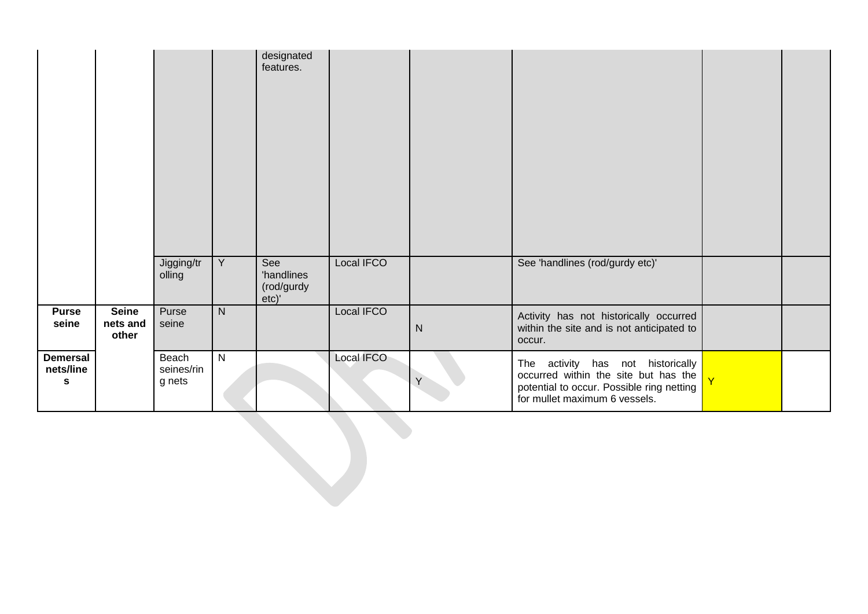|                                             |                                   |                               |                | designated<br>features.                  |            |           |                                                                                                                                                         |                         |  |
|---------------------------------------------|-----------------------------------|-------------------------------|----------------|------------------------------------------|------------|-----------|---------------------------------------------------------------------------------------------------------------------------------------------------------|-------------------------|--|
|                                             |                                   | Jigging/tr<br>olling          | $\overline{Y}$ | See<br>'handlines<br>(rod/gurdy<br>etc)' | Local IFCO |           | See 'handlines (rod/gurdy etc)'                                                                                                                         |                         |  |
| <b>Purse</b><br>seine                       | <b>Seine</b><br>nets and<br>other | Purse<br>seine                | ${\sf N}$      |                                          | Local IFCO | ${\sf N}$ | Activity has not historically occurred<br>within the site and is not anticipated to<br>occur.                                                           |                         |  |
| <b>Demersal</b><br>nets/line<br>$\mathbf s$ |                                   | Beach<br>seines/rin<br>g nets | $\overline{N}$ |                                          | Local IFCO | Y         | The activity has not historically<br>occurred within the site but has the<br>potential to occur. Possible ring netting<br>for mullet maximum 6 vessels. | $\overline{\mathsf{v}}$ |  |
|                                             |                                   |                               |                |                                          |            |           |                                                                                                                                                         |                         |  |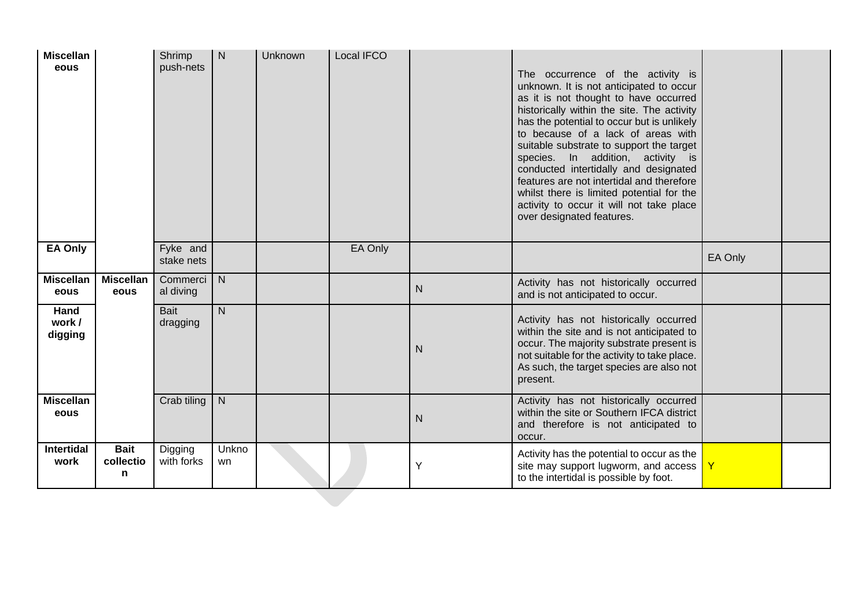| <b>Miscellan</b><br>eous  |                               | Shrimp<br>push-nets    | $\mathsf{N}$   | Unknown | Local IFCO |              | The occurrence of the activity is<br>unknown. It is not anticipated to occur<br>as it is not thought to have occurred<br>historically within the site. The activity<br>has the potential to occur but is unlikely<br>to because of a lack of areas with<br>suitable substrate to support the target<br>species. In addition, activity is<br>conducted intertidally and designated<br>features are not intertidal and therefore<br>whilst there is limited potential for the<br>activity to occur it will not take place<br>over designated features. |              |  |
|---------------------------|-------------------------------|------------------------|----------------|---------|------------|--------------|------------------------------------------------------------------------------------------------------------------------------------------------------------------------------------------------------------------------------------------------------------------------------------------------------------------------------------------------------------------------------------------------------------------------------------------------------------------------------------------------------------------------------------------------------|--------------|--|
| <b>EA Only</b>            |                               | Fyke and<br>stake nets |                |         | EA Only    |              |                                                                                                                                                                                                                                                                                                                                                                                                                                                                                                                                                      | EA Only      |  |
| <b>Miscellan</b><br>eous  | <b>Miscellan</b><br>eous      | Commerci<br>al diving  | $\overline{N}$ |         |            | ${\sf N}$    | Activity has not historically occurred<br>and is not anticipated to occur.                                                                                                                                                                                                                                                                                                                                                                                                                                                                           |              |  |
| Hand<br>work /<br>digging |                               | Bait<br>dragging       | $\overline{N}$ |         |            | $\mathsf{N}$ | Activity has not historically occurred<br>within the site and is not anticipated to<br>occur. The majority substrate present is<br>not suitable for the activity to take place.<br>As such, the target species are also not<br>present.                                                                                                                                                                                                                                                                                                              |              |  |
| <b>Miscellan</b><br>eous  |                               | Crab tiling            | N              |         |            | $\mathsf{N}$ | Activity has not historically occurred<br>within the site or Southern IFCA district<br>and therefore is not anticipated to<br>occur.                                                                                                                                                                                                                                                                                                                                                                                                                 |              |  |
| <b>Intertidal</b><br>work | <b>Bait</b><br>collectio<br>n | Digging<br>with forks  | Unkno<br>wn    |         |            | Υ            | Activity has the potential to occur as the<br>site may support lugworm, and access  <br>to the intertidal is possible by foot.                                                                                                                                                                                                                                                                                                                                                                                                                       | $\mathsf{Y}$ |  |
|                           |                               |                        |                |         |            |              |                                                                                                                                                                                                                                                                                                                                                                                                                                                                                                                                                      |              |  |